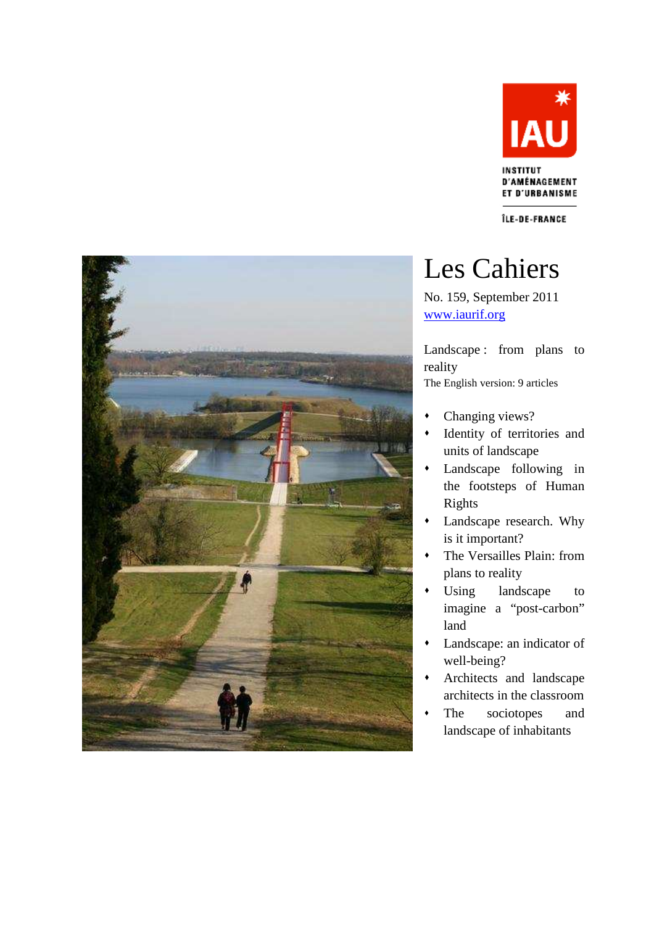

ÎLE-DE-FRANCE



# Les Cahiers

No. 159, September 2011 www.iaurif.org

Landscape : from plans to reality The English version: 9 articles

- Changing views?
- Identity of territories and units of landscape
- Landscape following in the footsteps of Human Rights
- Landscape research. Why is it important?
- The Versailles Plain: from plans to reality
- Using landscape to imagine a "post-carbon" land
- Landscape: an indicator of well-being?
- Architects and landscape architects in the classroom
- The sociotopes and landscape of inhabitants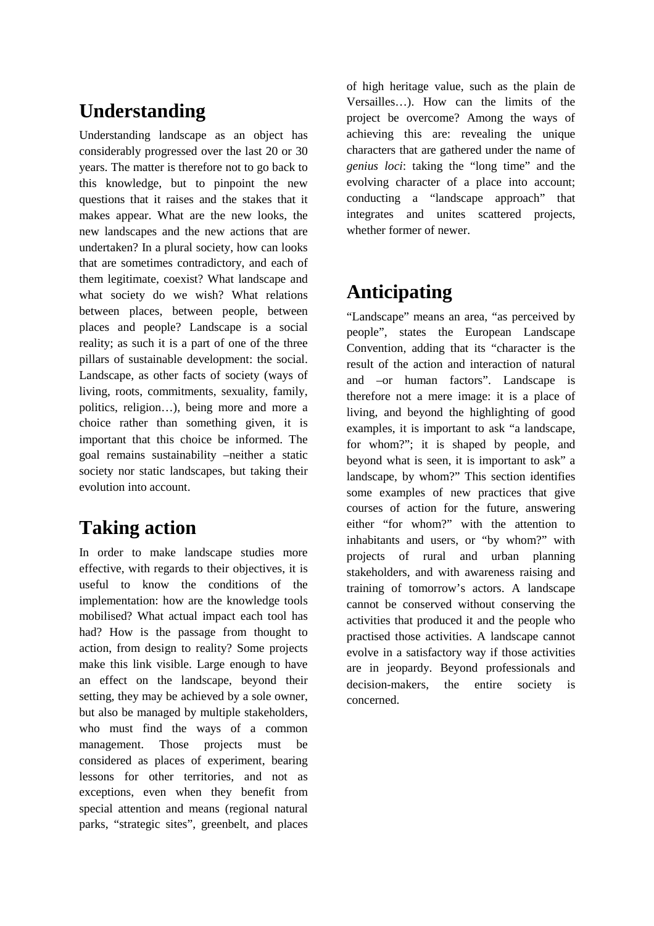# **Understanding**

Understanding landscape as an object has considerably progressed over the last 20 or 30 years. The matter is therefore not to go back to this knowledge, but to pinpoint the new questions that it raises and the stakes that it makes appear. What are the new looks, the new landscapes and the new actions that are undertaken? In a plural society, how can looks that are sometimes contradictory, and each of them legitimate, coexist? What landscape and what society do we wish? What relations between places, between people, between places and people? Landscape is a social reality; as such it is a part of one of the three pillars of sustainable development: the social. Landscape, as other facts of society (ways of living, roots, commitments, sexuality, family, politics, religion…), being more and more a choice rather than something given, it is important that this choice be informed. The goal remains sustainability –neither a static society nor static landscapes, but taking their evolution into account.

# **Taking action**

In order to make landscape studies more effective, with regards to their objectives, it is useful to know the conditions of the implementation: how are the knowledge tools mobilised? What actual impact each tool has had? How is the passage from thought to action, from design to reality? Some projects make this link visible. Large enough to have an effect on the landscape, beyond their setting, they may be achieved by a sole owner, but also be managed by multiple stakeholders, who must find the ways of a common management. Those projects must be considered as places of experiment, bearing lessons for other territories, and not as exceptions, even when they benefit from special attention and means (regional natural parks, "strategic sites", greenbelt, and places

of high heritage value, such as the plain de Versailles…). How can the limits of the project be overcome? Among the ways of achieving this are: revealing the unique characters that are gathered under the name of *genius loci*: taking the "long time" and the evolving character of a place into account; conducting a "landscape approach" that integrates and unites scattered projects, whether former of newer.

# **Anticipating**

"Landscape" means an area, "as perceived by people", states the European Landscape Convention, adding that its "character is the result of the action and interaction of natural and –or human factors". Landscape is therefore not a mere image: it is a place of living, and beyond the highlighting of good examples, it is important to ask "a landscape, for whom?"; it is shaped by people, and beyond what is seen, it is important to ask" a landscape, by whom?" This section identifies some examples of new practices that give courses of action for the future, answering either "for whom?" with the attention to inhabitants and users, or "by whom?" with projects of rural and urban planning stakeholders, and with awareness raising and training of tomorrow's actors. A landscape cannot be conserved without conserving the activities that produced it and the people who practised those activities. A landscape cannot evolve in a satisfactory way if those activities are in jeopardy. Beyond professionals and decision-makers, the entire society is concerned.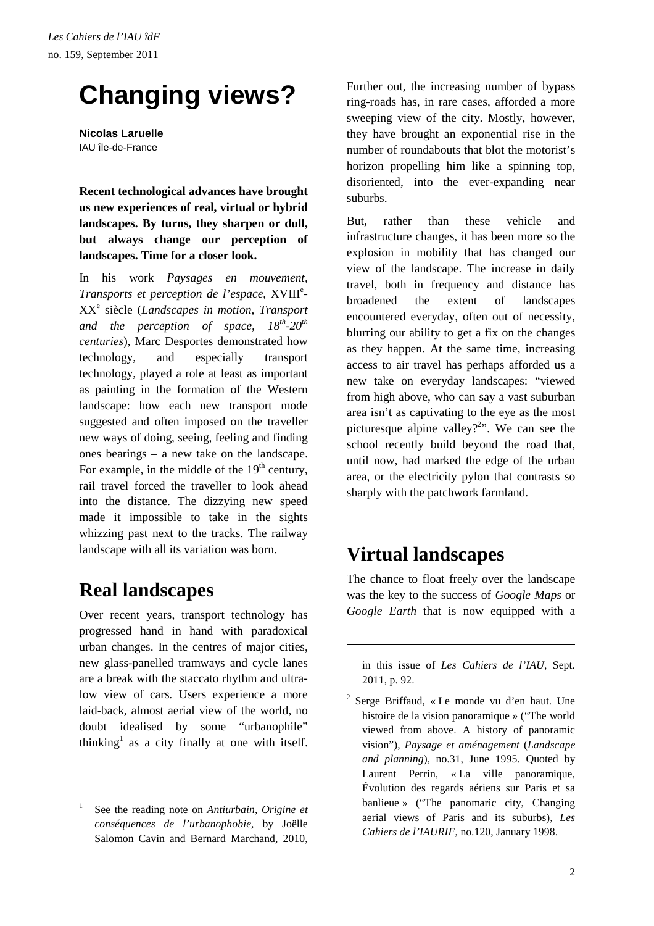# **Changing views?**

**Nicolas Laruelle**  IAU île-de-France

**Recent technological advances have brought us new experiences of real, virtual or hybrid landscapes. By turns, they sharpen or dull, but always change our perception of landscapes. Time for a closer look.** 

In his work *Paysages en mouvement,*  Transports et perception de l'espace, XVIII<sup>e</sup>-XX<sup>e</sup> siècle (*Landscapes in motion, Transport and the perception of space, 18th-20th centuries*), Marc Desportes demonstrated how technology, and especially transport technology, played a role at least as important as painting in the formation of the Western landscape: how each new transport mode suggested and often imposed on the traveller new ways of doing, seeing, feeling and finding ones bearings – a new take on the landscape. For example, in the middle of the  $19<sup>th</sup>$  century, rail travel forced the traveller to look ahead into the distance. The dizzying new speed made it impossible to take in the sights whizzing past next to the tracks. The railway landscape with all its variation was born.

### **Real landscapes**

 $\overline{a}$ 

Over recent years, transport technology has progressed hand in hand with paradoxical urban changes. In the centres of major cities, new glass-panelled tramways and cycle lanes are a break with the staccato rhythm and ultralow view of cars. Users experience a more laid-back, almost aerial view of the world, no doubt idealised by some "urbanophile" thinking<sup>1</sup> as a city finally at one with itself.

Further out, the increasing number of bypass ring-roads has, in rare cases, afforded a more sweeping view of the city. Mostly, however, they have brought an exponential rise in the number of roundabouts that blot the motorist's horizon propelling him like a spinning top, disoriented, into the ever-expanding near suburbs.

But, rather than these vehicle and infrastructure changes, it has been more so the explosion in mobility that has changed our view of the landscape. The increase in daily travel, both in frequency and distance has broadened the extent of landscapes encountered everyday, often out of necessity, blurring our ability to get a fix on the changes as they happen. At the same time, increasing access to air travel has perhaps afforded us a new take on everyday landscapes: "viewed from high above, who can say a vast suburban area isn't as captivating to the eye as the most picturesque alpine valley?<sup>2</sup> $\cdot$ . We can see the school recently build beyond the road that, until now, had marked the edge of the urban area, or the electricity pylon that contrasts so sharply with the patchwork farmland.

### **Virtual landscapes**

l

The chance to float freely over the landscape was the key to the success of *Google Maps* or *Google Earth* that is now equipped with a

in this issue of *Les Cahiers de l'IAU*, Sept. 2011, p. 92.

<sup>1</sup> See the reading note on *Antiurbain, Origine et conséquences de l'urbanophobie*, by Joëlle Salomon Cavin and Bernard Marchand, 2010,

<sup>2</sup> Serge Briffaud, « Le monde vu d'en haut. Une histoire de la vision panoramique » ("The world viewed from above. A history of panoramic vision"), *Paysage et aménagement* (*Landscape and planning*), no.31, June 1995. Quoted by Laurent Perrin, « La ville panoramique, Évolution des regards aériens sur Paris et sa banlieue » ("The panomaric city, Changing aerial views of Paris and its suburbs)*, Les Cahiers de l'IAURIF*, no.120, January 1998.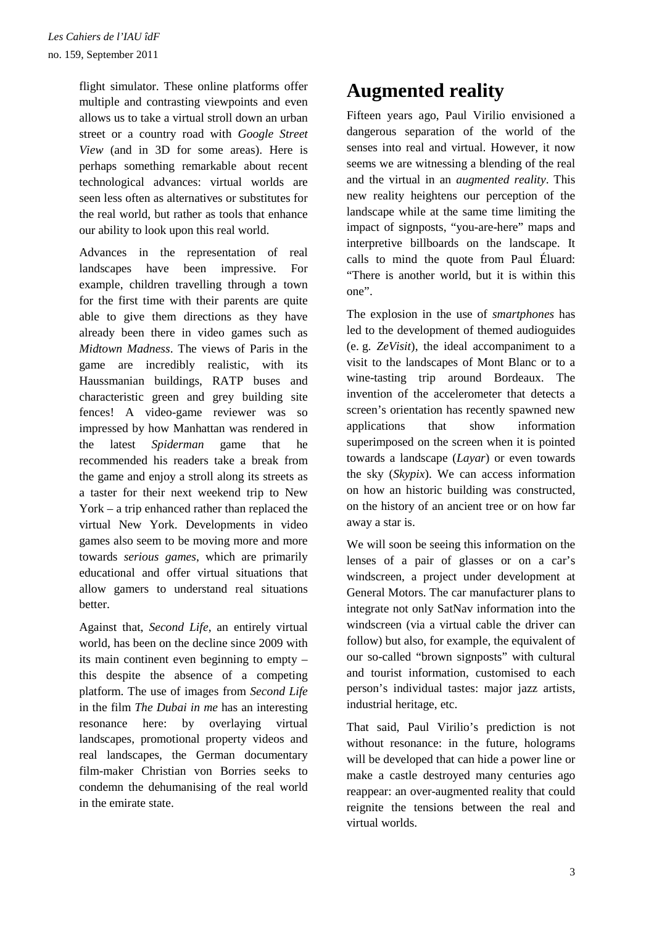flight simulator. These online platforms offer multiple and contrasting viewpoints and even allows us to take a virtual stroll down an urban street or a country road with *Google Street View* (and in 3D for some areas). Here is perhaps something remarkable about recent technological advances: virtual worlds are seen less often as alternatives or substitutes for the real world, but rather as tools that enhance our ability to look upon this real world.

Advances in the representation of real landscapes have been impressive. For example, children travelling through a town for the first time with their parents are quite able to give them directions as they have already been there in video games such as *Midtown Madness*. The views of Paris in the game are incredibly realistic, with its Haussmanian buildings, RATP buses and characteristic green and grey building site fences! A video-game reviewer was so impressed by how Manhattan was rendered in the latest *Spiderman* game that he recommended his readers take a break from the game and enjoy a stroll along its streets as a taster for their next weekend trip to New York – a trip enhanced rather than replaced the virtual New York. Developments in video games also seem to be moving more and more towards *serious games*, which are primarily educational and offer virtual situations that allow gamers to understand real situations better.

Against that, *Second Life*, an entirely virtual world, has been on the decline since 2009 with its main continent even beginning to empty – this despite the absence of a competing platform. The use of images from *Second Life* in the film *The Dubai in me* has an interesting resonance here: by overlaying virtual landscapes, promotional property videos and real landscapes, the German documentary film-maker Christian von Borries seeks to condemn the dehumanising of the real world in the emirate state.

## **Augmented reality**

Fifteen years ago, Paul Virilio envisioned a dangerous separation of the world of the senses into real and virtual. However, it now seems we are witnessing a blending of the real and the virtual in an *augmented reality*. This new reality heightens our perception of the landscape while at the same time limiting the impact of signposts, "you-are-here" maps and interpretive billboards on the landscape. It calls to mind the quote from Paul Éluard: "There is another world, but it is within this one".

The explosion in the use of *smartphones* has led to the development of themed audioguides (e. g. *ZeVisit*), the ideal accompaniment to a visit to the landscapes of Mont Blanc or to a wine-tasting trip around Bordeaux. The invention of the accelerometer that detects a screen's orientation has recently spawned new applications that show information superimposed on the screen when it is pointed towards a landscape (*Layar*) or even towards the sky (*Skypix*). We can access information on how an historic building was constructed, on the history of an ancient tree or on how far away a star is.

We will soon be seeing this information on the lenses of a pair of glasses or on a car's windscreen, a project under development at General Motors. The car manufacturer plans to integrate not only SatNav information into the windscreen (via a virtual cable the driver can follow) but also, for example, the equivalent of our so-called "brown signposts" with cultural and tourist information, customised to each person's individual tastes: major jazz artists, industrial heritage, etc.

That said, Paul Virilio's prediction is not without resonance: in the future, holograms will be developed that can hide a power line or make a castle destroyed many centuries ago reappear: an over-augmented reality that could reignite the tensions between the real and virtual worlds.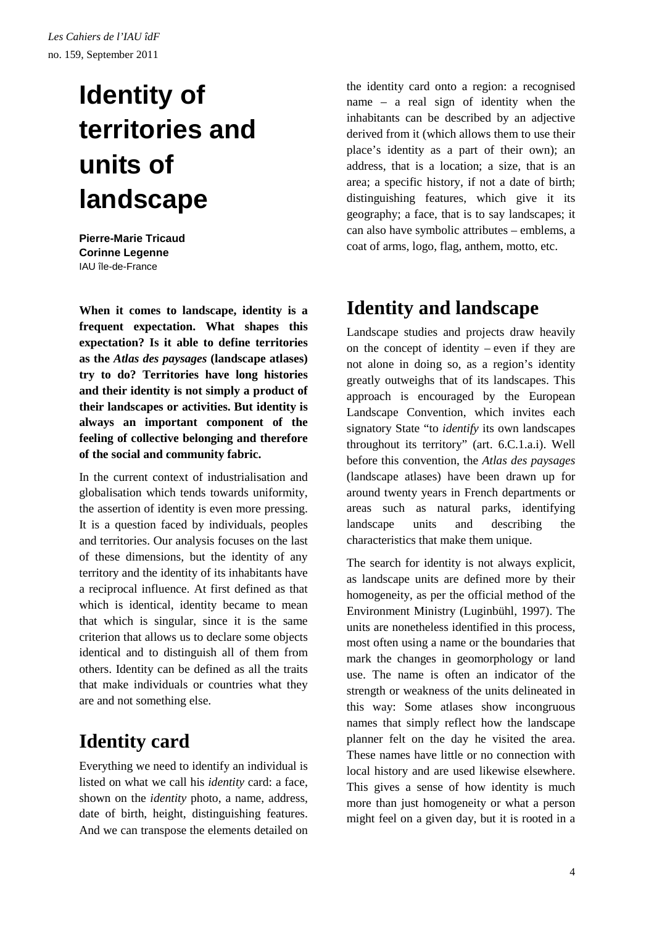# **Identity of territories and units of landscape**

**Pierre-Marie Tricaud Corinne Legenne**  IAU île-de-France

**When it comes to landscape, identity is a frequent expectation. What shapes this expectation? Is it able to define territories as the** *Atlas des paysages* **(landscape atlases) try to do? Territories have long histories and their identity is not simply a product of their landscapes or activities. But identity is always an important component of the feeling of collective belonging and therefore of the social and community fabric.** 

In the current context of industrialisation and globalisation which tends towards uniformity, the assertion of identity is even more pressing. It is a question faced by individuals, peoples and territories. Our analysis focuses on the last of these dimensions, but the identity of any territory and the identity of its inhabitants have a reciprocal influence. At first defined as that which is identical, identity became to mean that which is singular, since it is the same criterion that allows us to declare some objects identical and to distinguish all of them from others. Identity can be defined as all the traits that make individuals or countries what they are and not something else.

## **Identity card**

Everything we need to identify an individual is listed on what we call his *identity* card: a face, shown on the *identity* photo, a name, address, date of birth, height, distinguishing features. And we can transpose the elements detailed on the identity card onto a region: a recognised name – a real sign of identity when the inhabitants can be described by an adjective derived from it (which allows them to use their place's identity as a part of their own); an address, that is a location; a size, that is an area; a specific history, if not a date of birth; distinguishing features, which give it its geography; a face, that is to say landscapes; it can also have symbolic attributes – emblems, a coat of arms, logo, flag, anthem, motto, etc.

## **Identity and landscape**

Landscape studies and projects draw heavily on the concept of identity – even if they are not alone in doing so, as a region's identity greatly outweighs that of its landscapes. This approach is encouraged by the European Landscape Convention, which invites each signatory State "to *identify* its own landscapes throughout its territory" (art. 6.C.1.a.i). Well before this convention, the *Atlas des paysages*  (landscape atlases) have been drawn up for around twenty years in French departments or areas such as natural parks, identifying landscape units and describing the characteristics that make them unique.

The search for identity is not always explicit, as landscape units are defined more by their homogeneity, as per the official method of the Environment Ministry (Luginbühl, 1997). The units are nonetheless identified in this process, most often using a name or the boundaries that mark the changes in geomorphology or land use. The name is often an indicator of the strength or weakness of the units delineated in this way: Some atlases show incongruous names that simply reflect how the landscape planner felt on the day he visited the area. These names have little or no connection with local history and are used likewise elsewhere. This gives a sense of how identity is much more than just homogeneity or what a person might feel on a given day, but it is rooted in a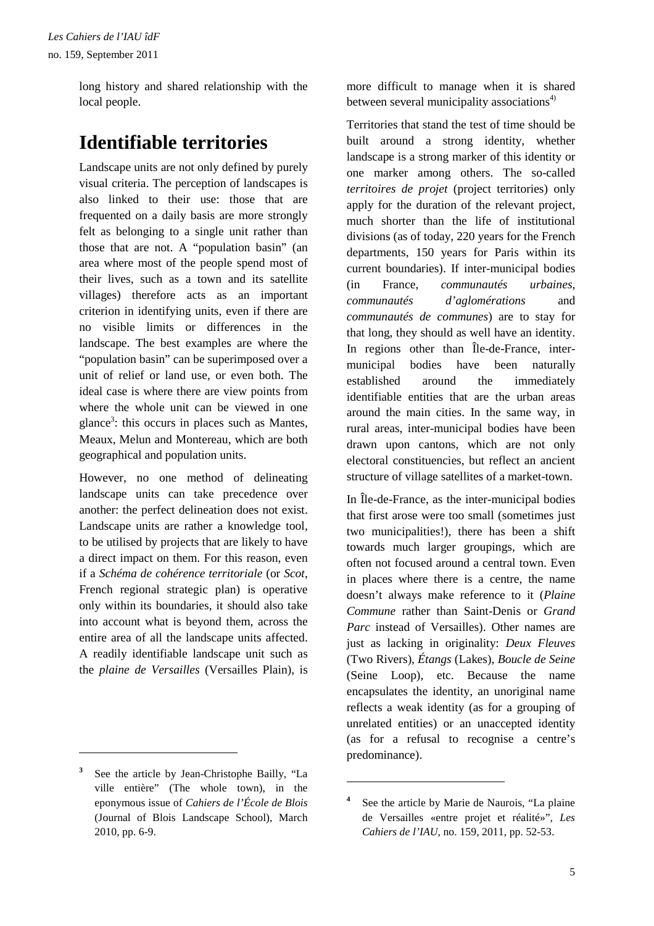long history and shared relationship with the local people.

## **Identifiable territories**

Landscape units are not only defined by purely visual criteria. The perception of landscapes is also linked to their use: those that are frequented on a daily basis are more strongly felt as belonging to a single unit rather than those that are not. A "population basin" (an area where most of the people spend most of their lives, such as a town and its satellite villages) therefore acts as an important criterion in identifying units, even if there are no visible limits or differences in the landscape. The best examples are where the "population basin" can be superimposed over a unit of relief or land use, or even both. The ideal case is where there are view points from where the whole unit can be viewed in one glance<sup>3</sup>: this occurs in places such as Mantes, Meaux, Melun and Montereau, which are both geographical and population units.

However, no one method of delineating landscape units can take precedence over another: the perfect delineation does not exist. Landscape units are rather a knowledge tool, to be utilised by projects that are likely to have a direct impact on them. For this reason, even if a *Schéma de cohérence territoriale* (or *Scot*, French regional strategic plan) is operative only within its boundaries, it should also take into account what is beyond them, across the entire area of all the landscape units affected. A readily identifiable landscape unit such as the *plaine de Versailles* (Versailles Plain), is

 $\overline{a}$ 

more difficult to manage when it is shared between several municipality associations $4$ )

Territories that stand the test of time should be built around a strong identity, whether landscape is a strong marker of this identity or one marker among others. The so-called *territoires de projet* (project territories) only apply for the duration of the relevant project, much shorter than the life of institutional divisions (as of today, 220 years for the French departments, 150 years for Paris within its current boundaries). If inter-municipal bodies (in France, *communautés urbaines*, *communautés d'aglomérations* and *communautés de communes*) are to stay for that long, they should as well have an identity. In regions other than Île-de-France, intermunicipal bodies have been naturally established around the immediately identifiable entities that are the urban areas around the main cities. In the same way, in rural areas, inter-municipal bodies have been drawn upon cantons, which are not only electoral constituencies, but reflect an ancient structure of village satellites of a market-town.

In Île-de-France, as the inter-municipal bodies that first arose were too small (sometimes just two municipalities!), there has been a shift towards much larger groupings, which are often not focused around a central town. Even in places where there is a centre, the name doesn't always make reference to it (*Plaine Commune* rather than Saint-Denis or *Grand Parc* instead of Versailles). Other names are just as lacking in originality: *Deux Fleuves*  (Two Rivers), *Étangs* (Lakes), *Boucle de Seine* (Seine Loop), etc. Because the name encapsulates the identity, an unoriginal name reflects a weak identity (as for a grouping of unrelated entities) or an unaccepted identity (as for a refusal to recognise a centre's predominance).

**<sup>3</sup>** See the article by Jean-Christophe Bailly, "La ville entière" (The whole town), in the eponymous issue of *Cahiers de l'École de Blois* (Journal of Blois Landscape School), March 2010, pp. 6-9.

<sup>&</sup>lt;sup>4</sup> See the article by Marie de Naurois, "La plaine de Versailles «entre projet et réalité»", *Les Cahiers de l'IAU*, no. 159, 2011, pp. 52-53.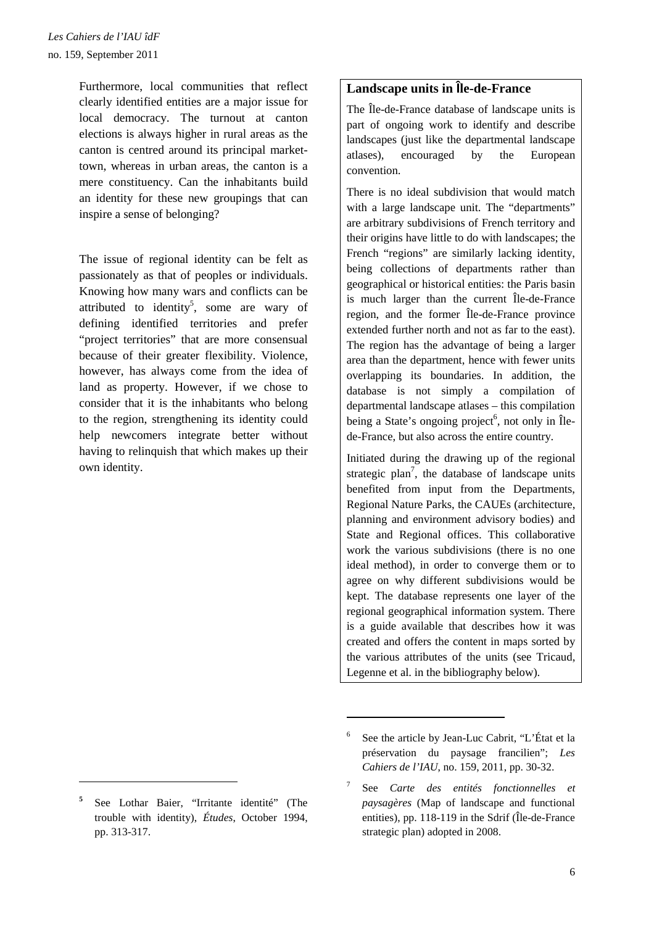Furthermore, local communities that reflect clearly identified entities are a major issue for local democracy. The turnout at canton elections is always higher in rural areas as the canton is centred around its principal markettown, whereas in urban areas, the canton is a mere constituency. Can the inhabitants build an identity for these new groupings that can inspire a sense of belonging?

The issue of regional identity can be felt as passionately as that of peoples or individuals. Knowing how many wars and conflicts can be attributed to identity<sup>5</sup>, some are wary of defining identified territories and prefer "project territories" that are more consensual because of their greater flexibility. Violence, however, has always come from the idea of land as property. However, if we chose to consider that it is the inhabitants who belong to the region, strengthening its identity could help newcomers integrate better without having to relinquish that which makes up their own identity.

 $\overline{a}$ 

#### **Landscape units in Île-de-France**

The Île-de-France database of landscape units is part of ongoing work to identify and describe landscapes (just like the departmental landscape atlases), encouraged by the European convention.

There is no ideal subdivision that would match with a large landscape unit. The "departments" are arbitrary subdivisions of French territory and their origins have little to do with landscapes; the French "regions" are similarly lacking identity, being collections of departments rather than geographical or historical entities: the Paris basin is much larger than the current Île-de-France region, and the former Île-de-France province extended further north and not as far to the east). The region has the advantage of being a larger area than the department, hence with fewer units overlapping its boundaries. In addition, the database is not simply a compilation of departmental landscape atlases – this compilation being a State's ongoing project<sup>6</sup>, not only in Îlede-France, but also across the entire country.

Initiated during the drawing up of the regional strategic plan<sup>7</sup>, the database of landscape units benefited from input from the Departments, Regional Nature Parks, the CAUEs (architecture, planning and environment advisory bodies) and State and Regional offices. This collaborative work the various subdivisions (there is no one ideal method), in order to converge them or to agree on why different subdivisions would be kept. The database represents one layer of the regional geographical information system. There is a guide available that describes how it was created and offers the content in maps sorted by the various attributes of the units (see Tricaud, Legenne et al. in the bibliography below).

**<sup>5</sup>** See Lothar Baier, "Irritante identité" (The trouble with identity), *Études*, October 1994, pp. 313-317.

<sup>6</sup> See the article by Jean-Luc Cabrit, "L'État et la préservation du paysage francilien"; *Les Cahiers de l'IAU*, no. 159, 2011, pp. 30-32.

<sup>7</sup> See *Carte des entités fonctionnelles et paysagères* (Map of landscape and functional entities), pp. 118-119 in the Sdrif (Île-de-France strategic plan) adopted in 2008.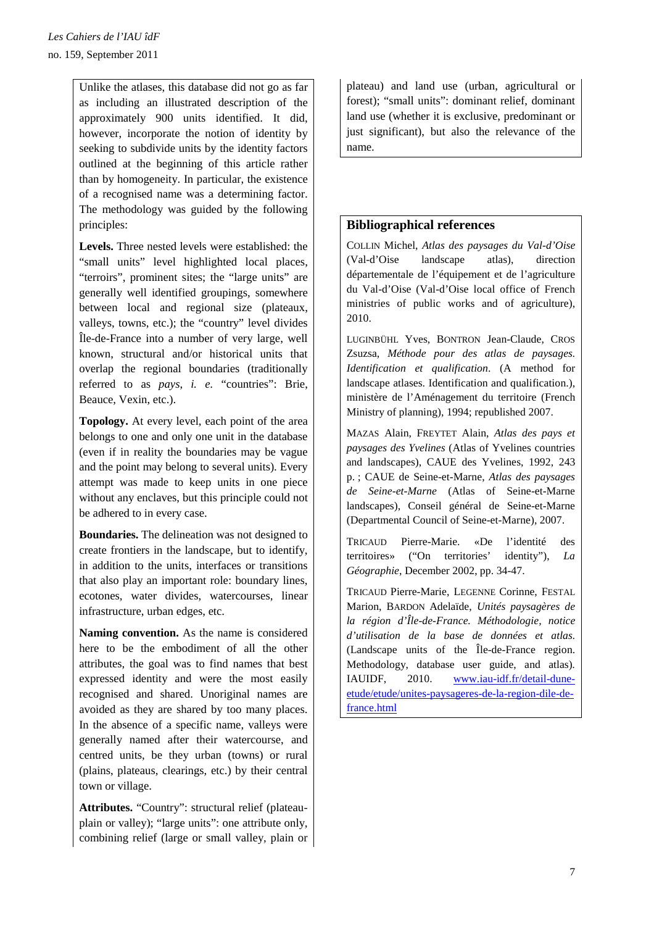Unlike the atlases, this database did not go as far as including an illustrated description of the approximately 900 units identified. It did, however, incorporate the notion of identity by seeking to subdivide units by the identity factors outlined at the beginning of this article rather than by homogeneity. In particular, the existence of a recognised name was a determining factor. The methodology was guided by the following principles:

**Levels.** Three nested levels were established: the "small units" level highlighted local places, "terroirs", prominent sites; the "large units" are generally well identified groupings, somewhere between local and regional size (plateaux, valleys, towns, etc.); the "country" level divides Île-de-France into a number of very large, well known, structural and/or historical units that overlap the regional boundaries (traditionally referred to as *pays*, *i. e.* "countries": Brie, Beauce, Vexin, etc.).

**Topology.** At every level, each point of the area belongs to one and only one unit in the database (even if in reality the boundaries may be vague and the point may belong to several units). Every attempt was made to keep units in one piece without any enclaves, but this principle could not be adhered to in every case.

**Boundaries.** The delineation was not designed to create frontiers in the landscape, but to identify, in addition to the units, interfaces or transitions that also play an important role: boundary lines, ecotones, water divides, watercourses, linear infrastructure, urban edges, etc.

**Naming convention.** As the name is considered here to be the embodiment of all the other attributes, the goal was to find names that best expressed identity and were the most easily recognised and shared. Unoriginal names are avoided as they are shared by too many places. In the absence of a specific name, valleys were generally named after their watercourse, and centred units, be they urban (towns) or rural (plains, plateaus, clearings, etc.) by their central town or village.

**Attributes.** "Country": structural relief (plateauplain or valley); "large units": one attribute only, combining relief (large or small valley, plain or

plateau) and land use (urban, agricultural or forest); "small units": dominant relief, dominant land use (whether it is exclusive, predominant or just significant), but also the relevance of the name.

### **Bibliographical references**

COLLIN Michel, *Atlas des paysages du Val-d'Oise*  (Val-d'Oise landscape atlas), direction départementale de l'équipement et de l'agriculture du Val-d'Oise (Val-d'Oise local office of French ministries of public works and of agriculture), 2010.

LUGINBÜHL Yves, BONTRON Jean-Claude, CROS Zsuzsa, *Méthode pour des atlas de paysages. Identification et qualification*. (A method for landscape atlases. Identification and qualification.), ministère de l'Aménagement du territoire (French Ministry of planning), 1994; republished 2007.

MAZAS Alain, FREYTET Alain, *Atlas des pays et paysages des Yvelines* (Atlas of Yvelines countries and landscapes), CAUE des Yvelines, 1992, 243 p. ; CAUE de Seine-et-Marne, *Atlas des paysages de Seine-et-Marne* (Atlas of Seine-et-Marne landscapes), Conseil général de Seine-et-Marne (Departmental Council of Seine-et-Marne), 2007.

TRICAUD Pierre-Marie. «De l'identité des territoires» ("On territories' identity"), *La Géographie*, December 2002, pp. 34-47.

TRICAUD Pierre-Marie, LEGENNE Corinne, FESTAL Marion, BARDON Adelaïde, *Unités paysagères de la région d'Île-de-France. Méthodologie, notice d'utilisation de la base de données et atlas.* (Landscape units of the Île-de-France region. Methodology, database user guide, and atlas)*.* IAUIDF, 2010. www.iau-idf.fr/detail-duneetude/etude/unites-paysageres-de-la-region-dile-defrance.html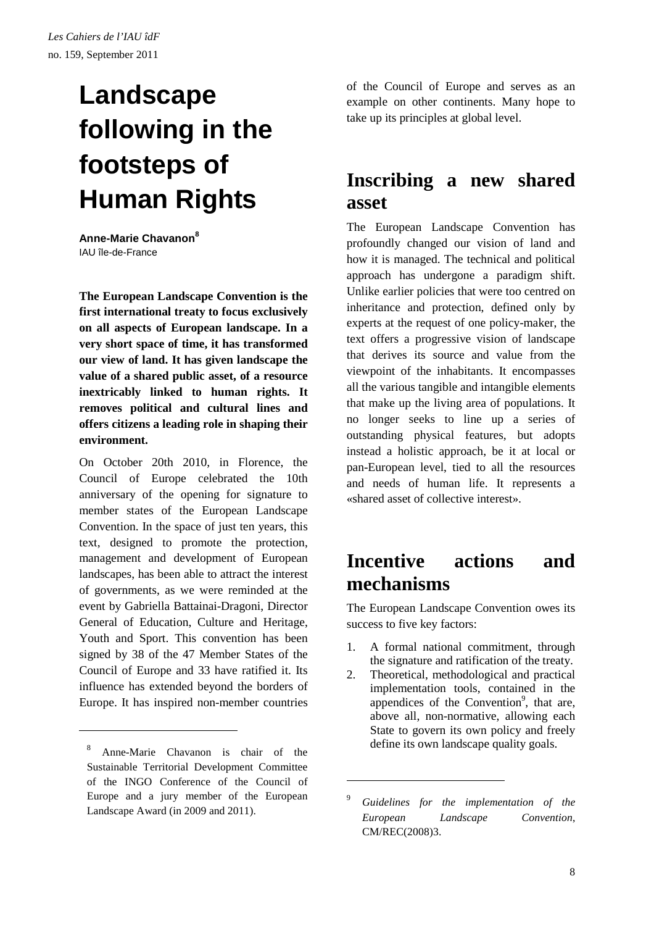# **Landscape following in the footsteps of Human Rights**

**Anne-Marie Chavanon<sup>8</sup>**  IAU île-de-France

**The European Landscape Convention is the first international treaty to focus exclusively on all aspects of European landscape. In a very short space of time, it has transformed our view of land. It has given landscape the value of a shared public asset, of a resource inextricably linked to human rights. It removes political and cultural lines and offers citizens a leading role in shaping their environment.**

On October 20th 2010, in Florence, the Council of Europe celebrated the 10th anniversary of the opening for signature to member states of the European Landscape Convention. In the space of just ten years, this text, designed to promote the protection, management and development of European landscapes, has been able to attract the interest of governments, as we were reminded at the event by Gabriella Battainai-Dragoni, Director General of Education, Culture and Heritage, Youth and Sport. This convention has been signed by 38 of the 47 Member States of the Council of Europe and 33 have ratified it. Its influence has extended beyond the borders of Europe. It has inspired non-member countries

 $\overline{a}$ 

of the Council of Europe and serves as an example on other continents. Many hope to take up its principles at global level.

### **Inscribing a new shared asset**

The European Landscape Convention has profoundly changed our vision of land and how it is managed. The technical and political approach has undergone a paradigm shift. Unlike earlier policies that were too centred on inheritance and protection, defined only by experts at the request of one policy-maker, the text offers a progressive vision of landscape that derives its source and value from the viewpoint of the inhabitants. It encompasses all the various tangible and intangible elements that make up the living area of populations. It no longer seeks to line up a series of outstanding physical features, but adopts instead a holistic approach, be it at local or pan-European level, tied to all the resources and needs of human life. It represents a «shared asset of collective interest».

### **Incentive actions and mechanisms**

The European Landscape Convention owes its success to five key factors:

- 1. A formal national commitment, through the signature and ratification of the treaty.
- 2. Theoretical, methodological and practical implementation tools, contained in the appendices of the Convention<sup>9</sup>, that are, above all, non-normative, allowing each State to govern its own policy and freely define its own landscape quality goals.

<sup>8</sup> Anne-Marie Chavanon is chair of the Sustainable Territorial Development Committee of the INGO Conference of the Council of Europe and a jury member of the European Landscape Award (in 2009 and 2011).

<sup>9</sup> *Guidelines for the implementation of the European Landscape Convention*, CM/REC(2008)3.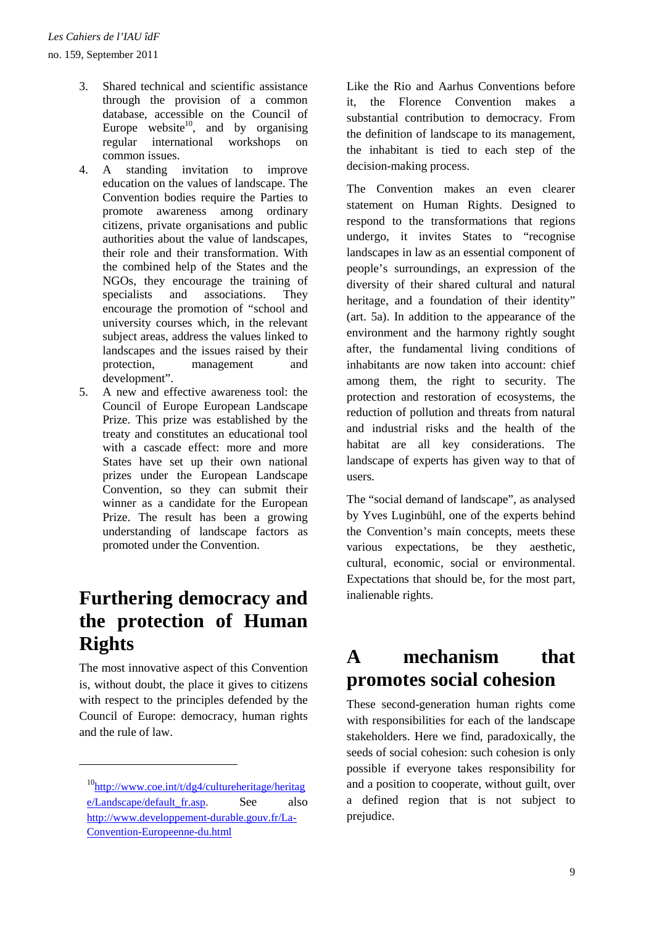no. 159, September 2011

- 3. Shared technical and scientific assistance through the provision of a common database, accessible on the Council of Europe website<sup>10</sup>, and by organising regular international workshops on common issues.
- 4. A standing invitation to improve education on the values of landscape. The Convention bodies require the Parties to promote awareness among ordinary citizens, private organisations and public authorities about the value of landscapes, their role and their transformation. With the combined help of the States and the NGOs, they encourage the training of specialists and associations. They encourage the promotion of "school and university courses which, in the relevant subject areas, address the values linked to landscapes and the issues raised by their protection, management and development".
- 5. A new and effective awareness tool: the Council of Europe European Landscape Prize. This prize was established by the treaty and constitutes an educational tool with a cascade effect: more and more States have set up their own national prizes under the European Landscape Convention, so they can submit their winner as a candidate for the European Prize. The result has been a growing understanding of landscape factors as promoted under the Convention.

### **Furthering democracy and the protection of Human Rights**

The most innovative aspect of this Convention is, without doubt, the place it gives to citizens with respect to the principles defended by the Council of Europe: democracy, human rights and the rule of law.

 $\overline{a}$ 

Like the Rio and Aarhus Conventions before it, the Florence Convention makes a substantial contribution to democracy. From the definition of landscape to its management, the inhabitant is tied to each step of the decision-making process.

The Convention makes an even clearer statement on Human Rights. Designed to respond to the transformations that regions undergo, it invites States to "recognise landscapes in law as an essential component of people's surroundings, an expression of the diversity of their shared cultural and natural heritage, and a foundation of their identity" (art. 5a). In addition to the appearance of the environment and the harmony rightly sought after, the fundamental living conditions of inhabitants are now taken into account: chief among them, the right to security. The protection and restoration of ecosystems, the reduction of pollution and threats from natural and industrial risks and the health of the habitat are all key considerations. The landscape of experts has given way to that of users.

The "social demand of landscape", as analysed by Yves Luginbühl, one of the experts behind the Convention's main concepts, meets these various expectations, be they aesthetic, cultural, economic, social or environmental. Expectations that should be, for the most part, inalienable rights.

### **A mechanism that promotes social cohesion**

These second-generation human rights come with responsibilities for each of the landscape stakeholders. Here we find, paradoxically, the seeds of social cohesion: such cohesion is only possible if everyone takes responsibility for and a position to cooperate, without guilt, over a defined region that is not subject to prejudice.

 $10$ http://www.coe.int/t/dg4/cultureheritage/heritag e/Landscape/default\_fr.asp. See also http://www.developpement-durable.gouv.fr/La-Convention-Europeenne-du.html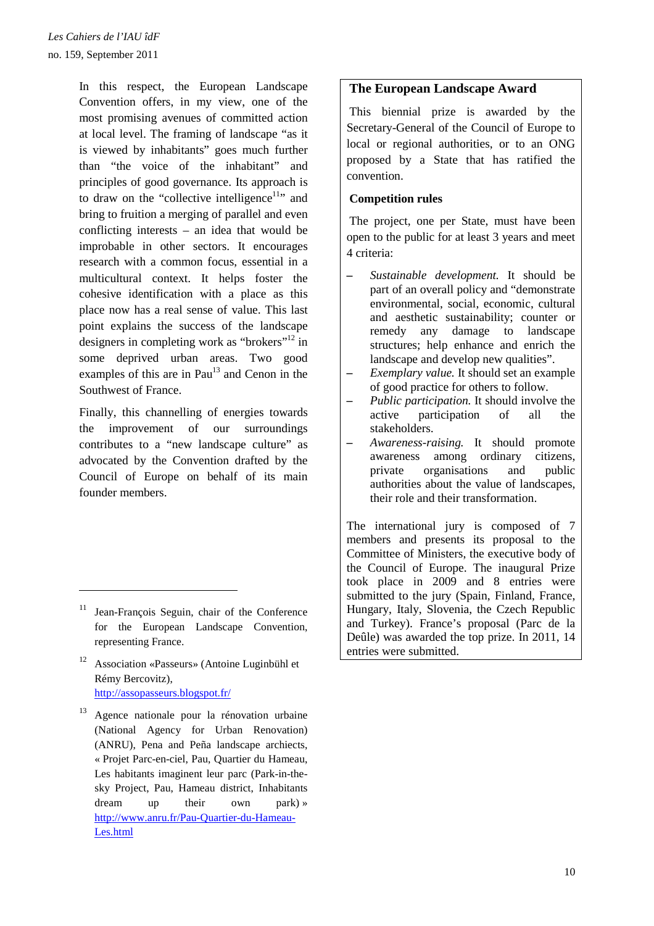In this respect, the European Landscape Convention offers, in my view, one of the most promising avenues of committed action at local level. The framing of landscape "as it is viewed by inhabitants" goes much further than "the voice of the inhabitant" and principles of good governance. Its approach is to draw on the "collective intelligence<sup>11</sup>" and bring to fruition a merging of parallel and even conflicting interests – an idea that would be improbable in other sectors. It encourages research with a common focus, essential in a multicultural context. It helps foster the cohesive identification with a place as this place now has a real sense of value. This last point explains the success of the landscape designers in completing work as "brokers"<sup>12</sup> in some deprived urban areas. Two good examples of this are in Pau $13$  and Cenon in the Southwest of France.

Finally, this channelling of energies towards the improvement of our surroundings contributes to a "new landscape culture" as advocated by the Convention drafted by the Council of Europe on behalf of its main founder members.

 $\overline{a}$ 

- <sup>12</sup> Association «Passeurs» (Antoine Luginbühl et Rémy Bercovitz), http://assopasseurs.blogspot.fr/
- <sup>13</sup> Agence nationale pour la rénovation urbaine (National Agency for Urban Renovation) (ANRU), Pena and Peña landscape archiects, « Projet Parc-en-ciel, Pau, Quartier du Hameau, Les habitants imaginent leur parc (Park-in-thesky Project, Pau, Hameau district, Inhabitants dream up their own park) » http://www.anru.fr/Pau-Quartier-du-Hameau-Les.html

#### **The European Landscape Award**

This biennial prize is awarded by the Secretary-General of the Council of Europe to local or regional authorities, or to an ONG proposed by a State that has ratified the convention.

#### **Competition rules**

The project, one per State, must have been open to the public for at least 3 years and meet 4 criteria:

- *– Sustainable development.* It should be part of an overall policy and "demonstrate environmental, social, economic, cultural and aesthetic sustainability; counter or remedy any damage to landscape structures; help enhance and enrich the landscape and develop new qualities".
- *– Exemplary value.* It should set an example of good practice for others to follow.
- *– Public participation.* It should involve the active participation of all the stakeholders.
- *– Awareness-raising.* It should promote awareness among ordinary citizens, private organisations and public authorities about the value of landscapes, their role and their transformation.

The international jury is composed of 7 members and presents its proposal to the Committee of Ministers, the executive body of the Council of Europe. The inaugural Prize took place in 2009 and 8 entries were submitted to the jury (Spain, Finland, France, Hungary, Italy, Slovenia, the Czech Republic and Turkey). France's proposal (Parc de la Deûle) was awarded the top prize. In 2011, 14 entries were submitted.

<sup>11</sup> Jean-François Seguin, chair of the Conference for the European Landscape Convention, representing France.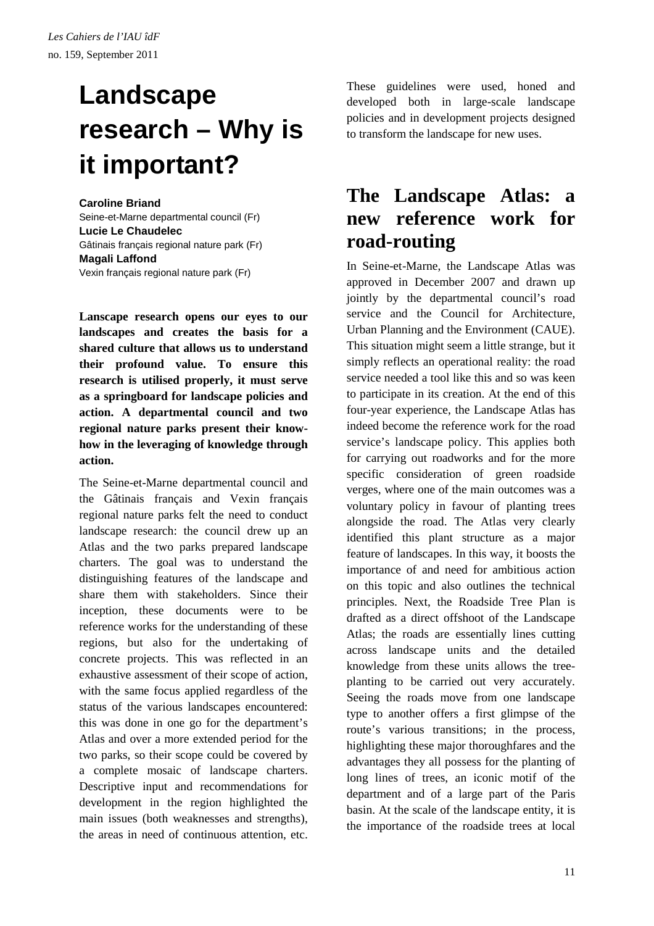# **Landscape research – Why is it important?**

#### **Caroline Briand**

Seine-et-Marne departmental council (Fr) **Lucie Le Chaudelec**  Gâtinais français regional nature park (Fr) **Magali Laffond**  Vexin français regional nature park (Fr)

**Lanscape research opens our eyes to our landscapes and creates the basis for a shared culture that allows us to understand their profound value. To ensure this research is utilised properly, it must serve as a springboard for landscape policies and action. A departmental council and two regional nature parks present their knowhow in the leveraging of knowledge through action.** 

The Seine-et-Marne departmental council and the Gâtinais français and Vexin français regional nature parks felt the need to conduct landscape research: the council drew up an Atlas and the two parks prepared landscape charters. The goal was to understand the distinguishing features of the landscape and share them with stakeholders. Since their inception, these documents were to be reference works for the understanding of these regions, but also for the undertaking of concrete projects. This was reflected in an exhaustive assessment of their scope of action, with the same focus applied regardless of the status of the various landscapes encountered: this was done in one go for the department's Atlas and over a more extended period for the two parks, so their scope could be covered by a complete mosaic of landscape charters. Descriptive input and recommendations for development in the region highlighted the main issues (both weaknesses and strengths), the areas in need of continuous attention, etc.

These guidelines were used, honed and developed both in large-scale landscape policies and in development projects designed to transform the landscape for new uses.

### **The Landscape Atlas: a new reference work for road-routing**

In Seine-et-Marne, the Landscape Atlas was approved in December 2007 and drawn up jointly by the departmental council's road service and the Council for Architecture, Urban Planning and the Environment (CAUE). This situation might seem a little strange, but it simply reflects an operational reality: the road service needed a tool like this and so was keen to participate in its creation. At the end of this four-year experience, the Landscape Atlas has indeed become the reference work for the road service's landscape policy. This applies both for carrying out roadworks and for the more specific consideration of green roadside verges, where one of the main outcomes was a voluntary policy in favour of planting trees alongside the road. The Atlas very clearly identified this plant structure as a major feature of landscapes. In this way, it boosts the importance of and need for ambitious action on this topic and also outlines the technical principles. Next, the Roadside Tree Plan is drafted as a direct offshoot of the Landscape Atlas; the roads are essentially lines cutting across landscape units and the detailed knowledge from these units allows the treeplanting to be carried out very accurately. Seeing the roads move from one landscape type to another offers a first glimpse of the route's various transitions; in the process, highlighting these major thoroughfares and the advantages they all possess for the planting of long lines of trees, an iconic motif of the department and of a large part of the Paris basin. At the scale of the landscape entity, it is the importance of the roadside trees at local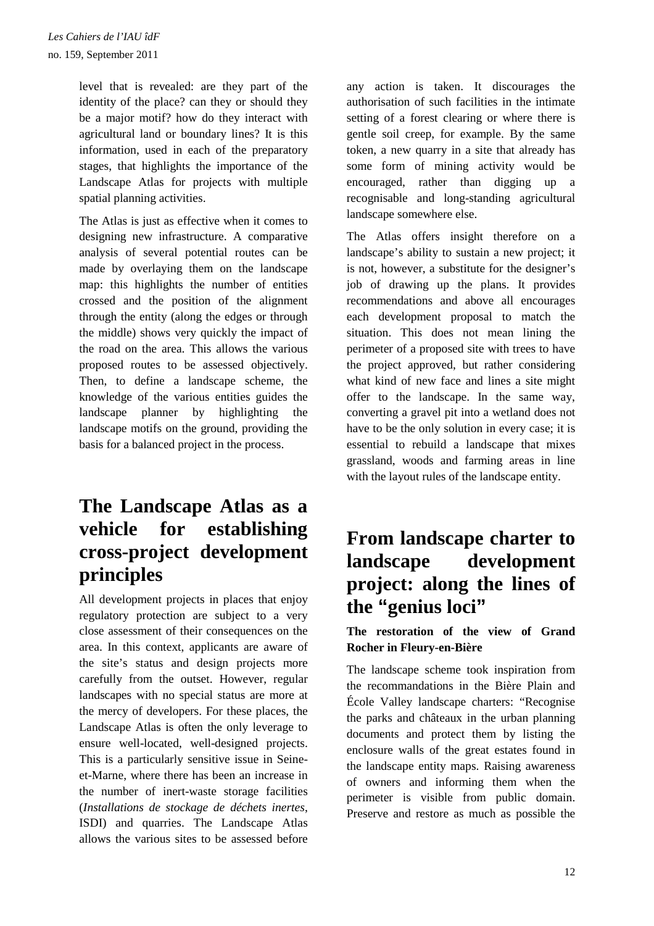level that is revealed: are they part of the identity of the place? can they or should they be a major motif? how do they interact with agricultural land or boundary lines? It is this information, used in each of the preparatory stages, that highlights the importance of the Landscape Atlas for projects with multiple spatial planning activities.

The Atlas is just as effective when it comes to designing new infrastructure. A comparative analysis of several potential routes can be made by overlaying them on the landscape map: this highlights the number of entities crossed and the position of the alignment through the entity (along the edges or through the middle) shows very quickly the impact of the road on the area. This allows the various proposed routes to be assessed objectively. Then, to define a landscape scheme, the knowledge of the various entities guides the landscape planner by highlighting the landscape motifs on the ground, providing the basis for a balanced project in the process.

## **The Landscape Atlas as a vehicle for establishing cross-project development principles**

All development projects in places that enjoy regulatory protection are subject to a very close assessment of their consequences on the area. In this context, applicants are aware of the site's status and design projects more carefully from the outset. However, regular landscapes with no special status are more at the mercy of developers. For these places, the Landscape Atlas is often the only leverage to ensure well-located, well-designed projects. This is a particularly sensitive issue in Seineet-Marne, where there has been an increase in the number of inert-waste storage facilities (*Installations de stockage de déchets inertes*, ISDI) and quarries. The Landscape Atlas allows the various sites to be assessed before

any action is taken. It discourages the authorisation of such facilities in the intimate setting of a forest clearing or where there is gentle soil creep, for example. By the same token, a new quarry in a site that already has some form of mining activity would be encouraged, rather than digging up a recognisable and long-standing agricultural landscape somewhere else.

The Atlas offers insight therefore on a landscape's ability to sustain a new project; it is not, however, a substitute for the designer's job of drawing up the plans. It provides recommendations and above all encourages each development proposal to match the situation. This does not mean lining the perimeter of a proposed site with trees to have the project approved, but rather considering what kind of new face and lines a site might offer to the landscape. In the same way, converting a gravel pit into a wetland does not have to be the only solution in every case; it is essential to rebuild a landscape that mixes grassland, woods and farming areas in line with the layout rules of the landscape entity.

## **From landscape charter to landscape development project: along the lines of the "genius loci"**

### **The restoration of the view of Grand Rocher in Fleury-en-Bière**

The landscape scheme took inspiration from the recommandations in the Bière Plain and École Valley landscape charters: "Recognise the parks and châteaux in the urban planning documents and protect them by listing the enclosure walls of the great estates found in the landscape entity maps. Raising awareness of owners and informing them when the perimeter is visible from public domain. Preserve and restore as much as possible the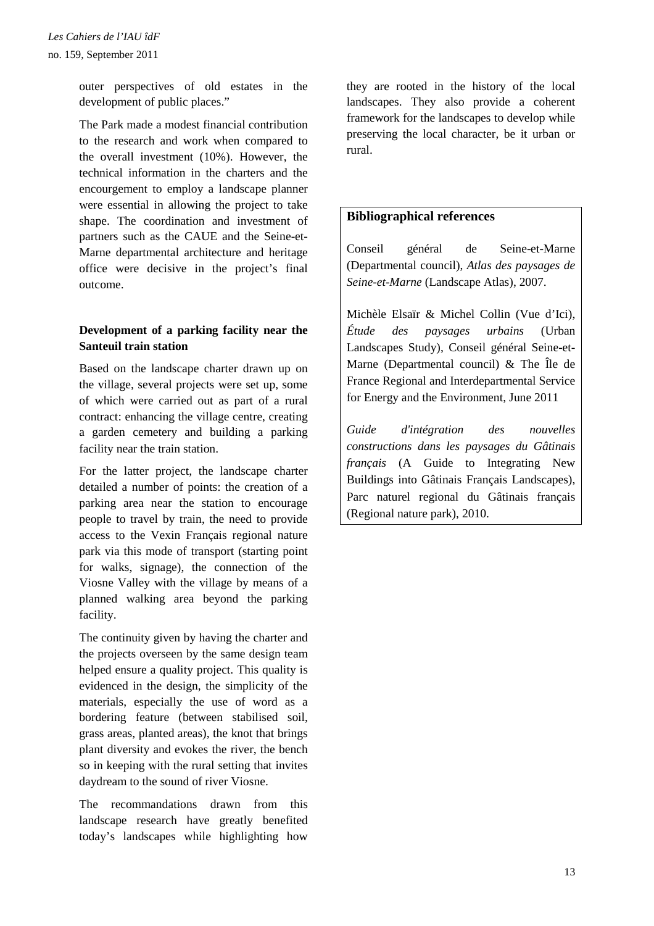outer perspectives of old estates in the development of public places."

The Park made a modest financial contribution to the research and work when compared to the overall investment (10%). However, the technical information in the charters and the encourgement to employ a landscape planner were essential in allowing the project to take shape. The coordination and investment of partners such as the CAUE and the Seine-et-Marne departmental architecture and heritage office were decisive in the project's final outcome.

### **Development of a parking facility near the Santeuil train station**

Based on the landscape charter drawn up on the village, several projects were set up, some of which were carried out as part of a rural contract: enhancing the village centre, creating a garden cemetery and building a parking facility near the train station.

For the latter project, the landscape charter detailed a number of points: the creation of a parking area near the station to encourage people to travel by train, the need to provide access to the Vexin Français regional nature park via this mode of transport (starting point for walks, signage), the connection of the Viosne Valley with the village by means of a planned walking area beyond the parking facility.

The continuity given by having the charter and the projects overseen by the same design team helped ensure a quality project. This quality is evidenced in the design, the simplicity of the materials, especially the use of word as a bordering feature (between stabilised soil, grass areas, planted areas), the knot that brings plant diversity and evokes the river, the bench so in keeping with the rural setting that invites daydream to the sound of river Viosne.

The recommandations drawn from this landscape research have greatly benefited today's landscapes while highlighting how

they are rooted in the history of the local landscapes. They also provide a coherent framework for the landscapes to develop while preserving the local character, be it urban or rural.

### **Bibliographical references**

Conseil général de Seine-et-Marne (Departmental council), *Atlas des paysages de Seine-et-Marne* (Landscape Atlas), 2007.

Michèle Elsaïr & Michel Collin (Vue d'Ici), *Étude des paysages urbains* (Urban Landscapes Study), Conseil général Seine-et-Marne (Departmental council) & The Île de France Regional and Interdepartmental Service for Energy and the Environment, June 2011

*Guide d'intégration des nouvelles constructions dans les paysages du Gâtinais français* (A Guide to Integrating New Buildings into Gâtinais Français Landscapes), Parc naturel regional du Gâtinais français (Regional nature park), 2010.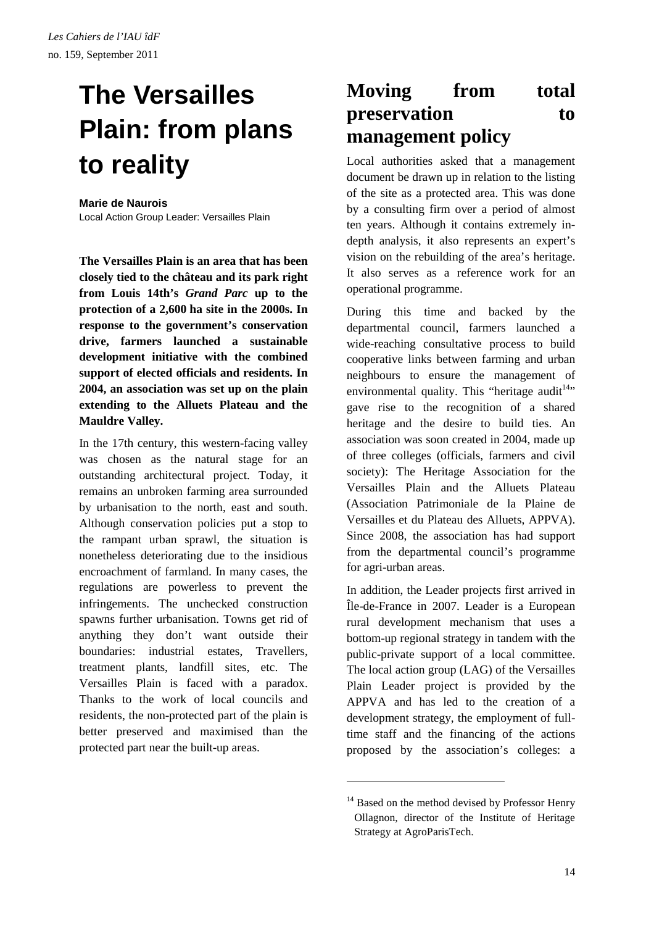# **The Versailles Plain: from plans to reality**

#### **Marie de Naurois**

Local Action Group Leader: Versailles Plain

**The Versailles Plain is an area that has been closely tied to the château and its park right from Louis 14th's** *Grand Parc* **up to the protection of a 2,600 ha site in the 2000s. In response to the government's conservation drive, farmers launched a sustainable development initiative with the combined support of elected officials and residents. In 2004, an association was set up on the plain extending to the Alluets Plateau and the Mauldre Valley.** 

In the 17th century, this western-facing valley was chosen as the natural stage for an outstanding architectural project. Today, it remains an unbroken farming area surrounded by urbanisation to the north, east and south. Although conservation policies put a stop to the rampant urban sprawl, the situation is nonetheless deteriorating due to the insidious encroachment of farmland. In many cases, the regulations are powerless to prevent the infringements. The unchecked construction spawns further urbanisation. Towns get rid of anything they don't want outside their boundaries: industrial estates, Travellers, treatment plants, landfill sites, etc. The Versailles Plain is faced with a paradox. Thanks to the work of local councils and residents, the non-protected part of the plain is better preserved and maximised than the protected part near the built-up areas.

### **Moving from total preservation** to **management policy**

Local authorities asked that a management document be drawn up in relation to the listing of the site as a protected area. This was done by a consulting firm over a period of almost ten years. Although it contains extremely indepth analysis, it also represents an expert's vision on the rebuilding of the area's heritage. It also serves as a reference work for an operational programme.

During this time and backed by the departmental council, farmers launched a wide-reaching consultative process to build cooperative links between farming and urban neighbours to ensure the management of environmental quality. This "heritage audit<sup>14</sup>" gave rise to the recognition of a shared heritage and the desire to build ties. An association was soon created in 2004, made up of three colleges (officials, farmers and civil society): The Heritage Association for the Versailles Plain and the Alluets Plateau (Association Patrimoniale de la Plaine de Versailles et du Plateau des Alluets, APPVA). Since 2008, the association has had support from the departmental council's programme for agri-urban areas.

In addition, the Leader projects first arrived in Île-de-France in 2007. Leader is a European rural development mechanism that uses a bottom-up regional strategy in tandem with the public-private support of a local committee. The local action group (LAG) of the Versailles Plain Leader project is provided by the APPVA and has led to the creation of a development strategy, the employment of fulltime staff and the financing of the actions proposed by the association's colleges: a

 $14$  Based on the method devised by Professor Henry Ollagnon, director of the Institute of Heritage Strategy at AgroParisTech.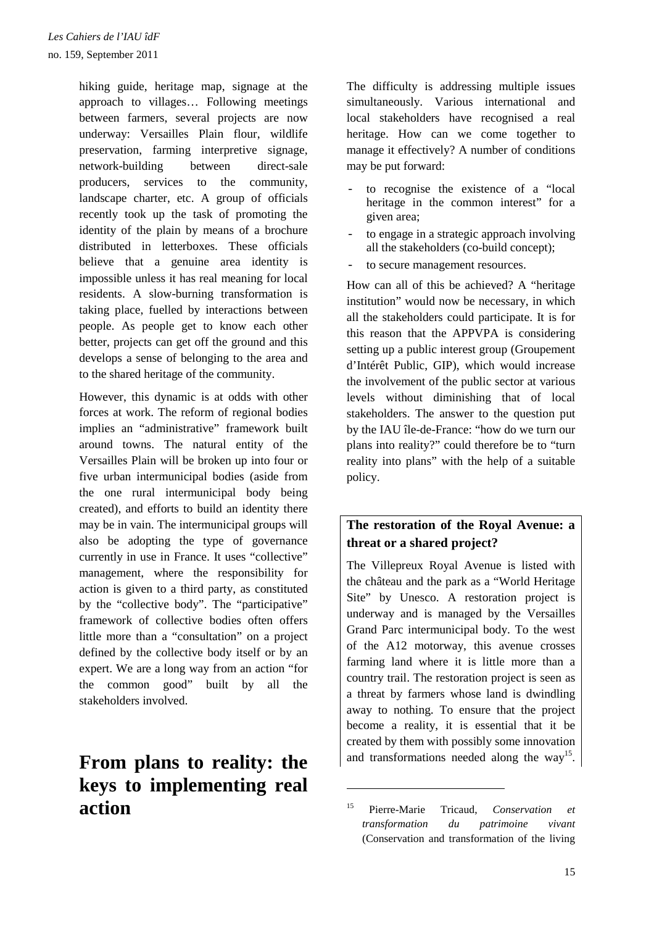hiking guide, heritage map, signage at the approach to villages… Following meetings between farmers, several projects are now underway: Versailles Plain flour, wildlife preservation, farming interpretive signage, network-building between direct-sale producers, services to the community, landscape charter, etc. A group of officials recently took up the task of promoting the identity of the plain by means of a brochure distributed in letterboxes. These officials believe that a genuine area identity is impossible unless it has real meaning for local residents. A slow-burning transformation is taking place, fuelled by interactions between people. As people get to know each other better, projects can get off the ground and this develops a sense of belonging to the area and to the shared heritage of the community.

However, this dynamic is at odds with other forces at work. The reform of regional bodies implies an "administrative" framework built around towns. The natural entity of the Versailles Plain will be broken up into four or five urban intermunicipal bodies (aside from the one rural intermunicipal body being created), and efforts to build an identity there may be in vain. The intermunicipal groups will also be adopting the type of governance currently in use in France. It uses "collective" management, where the responsibility for action is given to a third party, as constituted by the "collective body". The "participative" framework of collective bodies often offers little more than a "consultation" on a project defined by the collective body itself or by an expert. We are a long way from an action "for the common good" built by all the stakeholders involved.

## **From plans to reality: the keys to implementing real action**

The difficulty is addressing multiple issues simultaneously. Various international and local stakeholders have recognised a real heritage. How can we come together to manage it effectively? A number of conditions may be put forward:

- to recognise the existence of a "local" heritage in the common interest" for a given area;
- to engage in a strategic approach involving all the stakeholders (co-build concept);
- to secure management resources.

How can all of this be achieved? A "heritage institution" would now be necessary, in which all the stakeholders could participate. It is for this reason that the APPVPA is considering setting up a public interest group (Groupement d'Intérêt Public, GIP), which would increase the involvement of the public sector at various levels without diminishing that of local stakeholders. The answer to the question put by the IAU île-de-France: "how do we turn our plans into reality?" could therefore be to "turn reality into plans" with the help of a suitable policy.

### **The restoration of the Royal Avenue: a threat or a shared project?**

The Villepreux Royal Avenue is listed with the château and the park as a "World Heritage Site" by Unesco. A restoration project is underway and is managed by the Versailles Grand Parc intermunicipal body. To the west of the A12 motorway, this avenue crosses farming land where it is little more than a country trail. The restoration project is seen as a threat by farmers whose land is dwindling away to nothing. To ensure that the project become a reality, it is essential that it be created by them with possibly some innovation and transformations needed along the way<sup>15</sup>.

<sup>15</sup> Pierre-Marie Tricaud, *Conservation et transformation du patrimoine vivant*  (Conservation and transformation of the living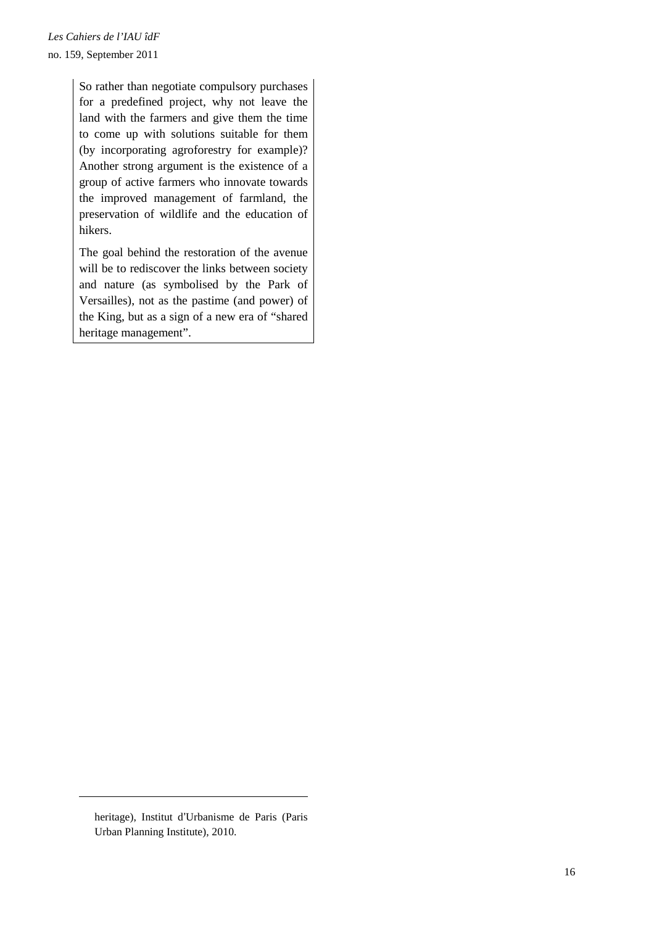So rather than negotiate compulsory purchases for a predefined project, why not leave the land with the farmers and give them the time to come up with solutions suitable for them (by incorporating agroforestry for example)? Another strong argument is the existence of a group of active farmers who innovate towards the improved management of farmland, the preservation of wildlife and the education of hikers.

The goal behind the restoration of the avenue will be to rediscover the links between society and nature (as symbolised by the Park of Versailles), not as the pastime (and power) of the King, but as a sign of a new era of "shared heritage management".

heritage), Institut d'Urbanisme de Paris (Paris Urban Planning Institute), 2010.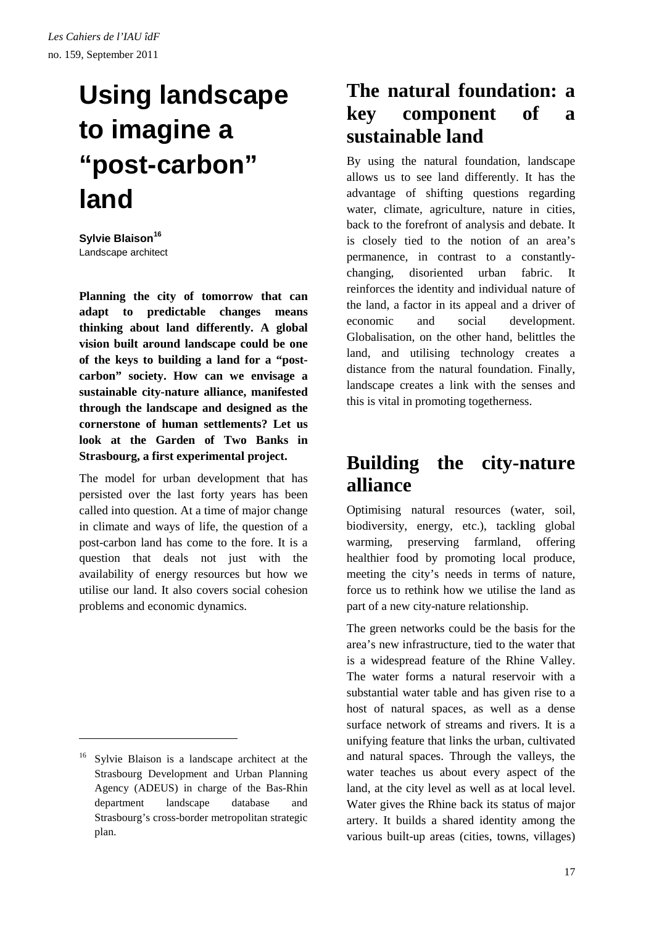# **Using landscape to imagine a "post-carbon" land**

**Sylvie Blaison<sup>16</sup>** Landscape architect

**Planning the city of tomorrow that can adapt to predictable changes means thinking about land differently. A global vision built around landscape could be one of the keys to building a land for a "postcarbon" society. How can we envisage a sustainable city-nature alliance, manifested through the landscape and designed as the cornerstone of human settlements? Let us look at the Garden of Two Banks in Strasbourg, a first experimental project.** 

The model for urban development that has persisted over the last forty years has been called into question. At a time of major change in climate and ways of life, the question of a post-carbon land has come to the fore. It is a question that deals not just with the availability of energy resources but how we utilise our land. It also covers social cohesion problems and economic dynamics.

 $\overline{a}$ 

### **The natural foundation: a key component of a sustainable land**

By using the natural foundation, landscape allows us to see land differently. It has the advantage of shifting questions regarding water, climate, agriculture, nature in cities, back to the forefront of analysis and debate. It is closely tied to the notion of an area's permanence, in contrast to a constantlychanging, disoriented urban fabric. It reinforces the identity and individual nature of the land, a factor in its appeal and a driver of economic and social development. Globalisation, on the other hand, belittles the land, and utilising technology creates a distance from the natural foundation. Finally, landscape creates a link with the senses and this is vital in promoting togetherness.

### **Building the city-nature alliance**

Optimising natural resources (water, soil, biodiversity, energy, etc.), tackling global warming, preserving farmland, offering healthier food by promoting local produce, meeting the city's needs in terms of nature, force us to rethink how we utilise the land as part of a new city-nature relationship.

The green networks could be the basis for the area's new infrastructure, tied to the water that is a widespread feature of the Rhine Valley. The water forms a natural reservoir with a substantial water table and has given rise to a host of natural spaces, as well as a dense surface network of streams and rivers. It is a unifying feature that links the urban, cultivated and natural spaces. Through the valleys, the water teaches us about every aspect of the land, at the city level as well as at local level. Water gives the Rhine back its status of major artery. It builds a shared identity among the various built-up areas (cities, towns, villages)

<sup>16</sup> Sylvie Blaison is a landscape architect at the Strasbourg Development and Urban Planning Agency (ADEUS) in charge of the Bas-Rhin department landscape database and Strasbourg's cross-border metropolitan strategic plan.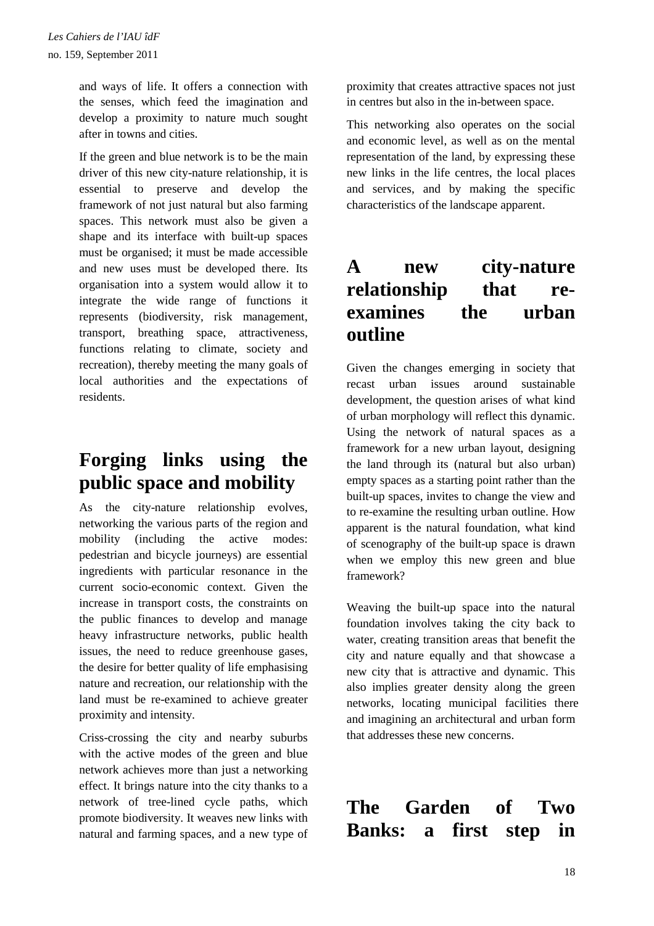and ways of life. It offers a connection with the senses, which feed the imagination and develop a proximity to nature much sought after in towns and cities.

If the green and blue network is to be the main driver of this new city-nature relationship, it is essential to preserve and develop the framework of not just natural but also farming spaces. This network must also be given a shape and its interface with built-up spaces must be organised; it must be made accessible and new uses must be developed there. Its organisation into a system would allow it to integrate the wide range of functions it represents (biodiversity, risk management, transport, breathing space, attractiveness, functions relating to climate, society and recreation), thereby meeting the many goals of local authorities and the expectations of residents.

### **Forging links using the public space and mobility**

As the city-nature relationship evolves, networking the various parts of the region and mobility (including the active modes: pedestrian and bicycle journeys) are essential ingredients with particular resonance in the current socio-economic context. Given the increase in transport costs, the constraints on the public finances to develop and manage heavy infrastructure networks, public health issues, the need to reduce greenhouse gases, the desire for better quality of life emphasising nature and recreation, our relationship with the land must be re-examined to achieve greater proximity and intensity.

Criss-crossing the city and nearby suburbs with the active modes of the green and blue network achieves more than just a networking effect. It brings nature into the city thanks to a network of tree-lined cycle paths, which promote biodiversity. It weaves new links with natural and farming spaces, and a new type of proximity that creates attractive spaces not just in centres but also in the in-between space.

This networking also operates on the social and economic level, as well as on the mental representation of the land, by expressing these new links in the life centres, the local places and services, and by making the specific characteristics of the landscape apparent.

### **A new city-nature relationship that reexamines the urban outline**

Given the changes emerging in society that recast urban issues around sustainable development, the question arises of what kind of urban morphology will reflect this dynamic. Using the network of natural spaces as a framework for a new urban layout, designing the land through its (natural but also urban) empty spaces as a starting point rather than the built-up spaces, invites to change the view and to re-examine the resulting urban outline. How apparent is the natural foundation, what kind of scenography of the built-up space is drawn when we employ this new green and blue framework?

Weaving the built-up space into the natural foundation involves taking the city back to water, creating transition areas that benefit the city and nature equally and that showcase a new city that is attractive and dynamic. This also implies greater density along the green networks, locating municipal facilities there and imagining an architectural and urban form that addresses these new concerns.

**The Garden of Two Banks: a first step in**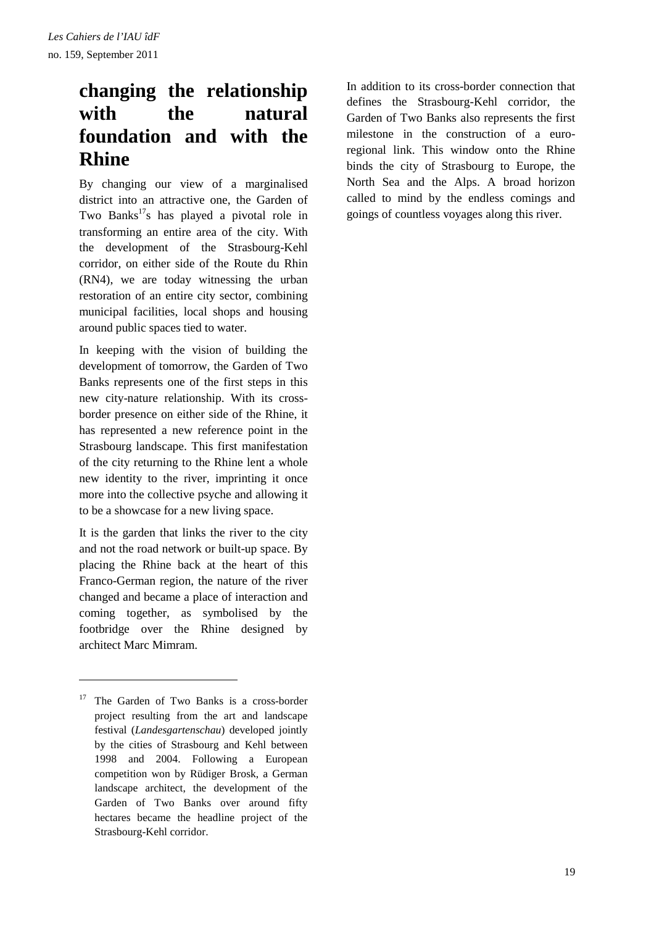## **changing the relationship with the natural foundation and with the Rhine**

By changing our view of a marginalised district into an attractive one, the Garden of Two Banks<sup>17</sup>s has played a pivotal role in transforming an entire area of the city. With the development of the Strasbourg-Kehl corridor, on either side of the Route du Rhin (RN4), we are today witnessing the urban restoration of an entire city sector, combining municipal facilities, local shops and housing around public spaces tied to water.

In keeping with the vision of building the development of tomorrow, the Garden of Two Banks represents one of the first steps in this new city-nature relationship. With its crossborder presence on either side of the Rhine, it has represented a new reference point in the Strasbourg landscape. This first manifestation of the city returning to the Rhine lent a whole new identity to the river, imprinting it once more into the collective psyche and allowing it to be a showcase for a new living space.

It is the garden that links the river to the city and not the road network or built-up space. By placing the Rhine back at the heart of this Franco-German region, the nature of the river changed and became a place of interaction and coming together, as symbolised by the footbridge over the Rhine designed by architect Marc Mimram.

 $\overline{a}$ 

In addition to its cross-border connection that defines the Strasbourg-Kehl corridor, the Garden of Two Banks also represents the first milestone in the construction of a euroregional link. This window onto the Rhine binds the city of Strasbourg to Europe, the North Sea and the Alps. A broad horizon called to mind by the endless comings and goings of countless voyages along this river.

<sup>&</sup>lt;sup>17</sup> The Garden of Two Banks is a cross-border project resulting from the art and landscape festival (*Landesgartenschau*) developed jointly by the cities of Strasbourg and Kehl between 1998 and 2004. Following a European competition won by Rüdiger Brosk, a German landscape architect, the development of the Garden of Two Banks over around fifty hectares became the headline project of the Strasbourg-Kehl corridor.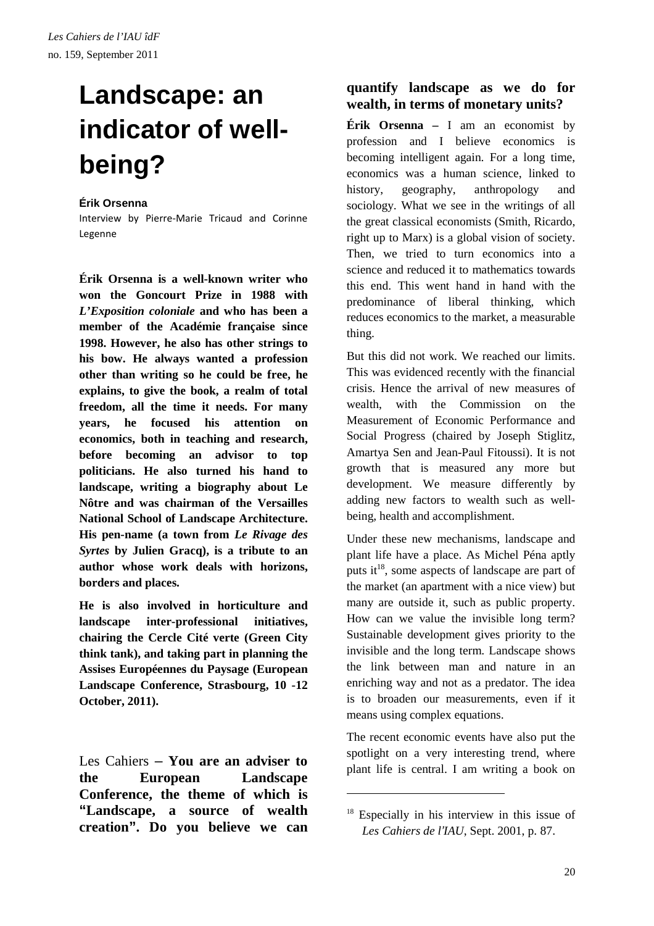# **Landscape: an indicator of wellbeing?**

#### **Érik Orsenna**

Interview by Pierre-Marie Tricaud and Corinne Legenne

**Érik Orsenna is a well-known writer who won the Goncourt Prize in 1988 with**  *L'Exposition coloniale* **and who has been a member of the Académie française since 1998. However, he also has other strings to his bow. He always wanted a profession other than writing so he could be free, he explains, to give the book, a realm of total freedom, all the time it needs. For many years, he focused his attention on economics, both in teaching and research, before becoming an advisor to top politicians. He also turned his hand to landscape, writing a biography about Le Nôtre and was chairman of the Versailles National School of Landscape Architecture. His pen-name (a town from** *Le Rivage des Syrtes* **by Julien Gracq), is a tribute to an author whose work deals with horizons, borders and places.** 

**He is also involved in horticulture and landscape inter-professional initiatives, chairing the Cercle Cité verte (Green City think tank), and taking part in planning the Assises Européennes du Paysage (European Landscape Conference, Strasbourg, 10 -12 October, 2011).** 

Les Cahiers – **You are an adviser to the European Landscape Conference, the theme of which is "Landscape, a source of wealth creation". Do you believe we can** 

### **quantify landscape as we do for wealth, in terms of monetary units?**

**Érik Orsenna –** I am an economist by profession and I believe economics is becoming intelligent again. For a long time, economics was a human science, linked to history, geography, anthropology and sociology. What we see in the writings of all the great classical economists (Smith, Ricardo, right up to Marx) is a global vision of society. Then, we tried to turn economics into a science and reduced it to mathematics towards this end. This went hand in hand with the predominance of liberal thinking, which reduces economics to the market, a measurable thing.

But this did not work. We reached our limits. This was evidenced recently with the financial crisis. Hence the arrival of new measures of wealth, with the Commission on the Measurement of Economic Performance and Social Progress (chaired by Joseph Stiglitz, Amartya Sen and Jean-Paul Fitoussi). It is not growth that is measured any more but development. We measure differently by adding new factors to wealth such as wellbeing, health and accomplishment.

Under these new mechanisms, landscape and plant life have a place. As Michel Péna aptly puts it<sup>18</sup>, some aspects of landscape are part of the market (an apartment with a nice view) but many are outside it, such as public property. How can we value the invisible long term? Sustainable development gives priority to the invisible and the long term. Landscape shows the link between man and nature in an enriching way and not as a predator. The idea is to broaden our measurements, even if it means using complex equations.

The recent economic events have also put the spotlight on a very interesting trend, where plant life is central. I am writing a book on

 $18$  Especially in his interview in this issue of *Les Cahiers de l*'*IAU*, Sept. 2001, p. 87.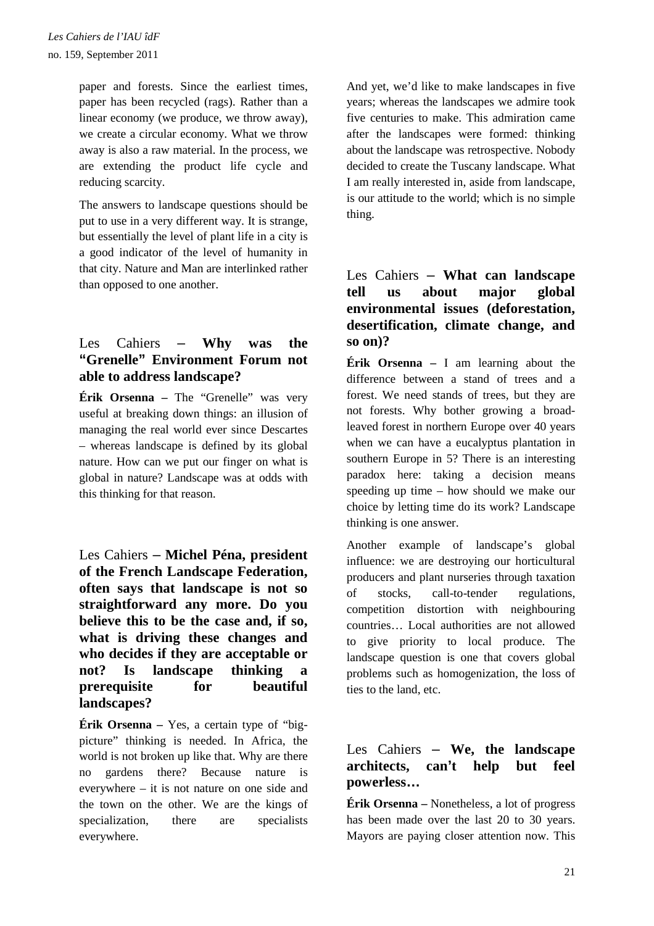paper and forests. Since the earliest times, paper has been recycled (rags). Rather than a linear economy (we produce, we throw away), we create a circular economy. What we throw away is also a raw material. In the process, we are extending the product life cycle and reducing scarcity.

The answers to landscape questions should be put to use in a very different way. It is strange, but essentially the level of plant life in a city is a good indicator of the level of humanity in that city. Nature and Man are interlinked rather than opposed to one another.

### Les Cahiers – **Why was the "Grenelle" Environment Forum not able to address landscape?**

**Érik Orsenna –** The "Grenelle" was very useful at breaking down things: an illusion of managing the real world ever since Descartes – whereas landscape is defined by its global nature. How can we put our finger on what is global in nature? Landscape was at odds with this thinking for that reason.

### Les Cahiers – **Michel Péna, president of the French Landscape Federation, often says that landscape is not so straightforward any more. Do you believe this to be the case and, if so, what is driving these changes and who decides if they are acceptable or not? Is landscape thinking a prerequisite for beautiful landscapes?**

**Érik Orsenna –** Yes, a certain type of "bigpicture" thinking is needed. In Africa, the world is not broken up like that. Why are there no gardens there? Because nature is everywhere – it is not nature on one side and the town on the other. We are the kings of specialization, there are specialists everywhere.

And yet, we'd like to make landscapes in five years; whereas the landscapes we admire took five centuries to make. This admiration came after the landscapes were formed: thinking about the landscape was retrospective. Nobody decided to create the Tuscany landscape. What I am really interested in, aside from landscape, is our attitude to the world; which is no simple thing.

### Les Cahiers – **What can landscape tell us about major global environmental issues (deforestation, desertification, climate change, and so on)?**

**Érik Orsenna** – I am learning about the difference between a stand of trees and a forest. We need stands of trees, but they are not forests. Why bother growing a broadleaved forest in northern Europe over 40 years when we can have a eucalyptus plantation in southern Europe in 5? There is an interesting paradox here: taking a decision means speeding up time – how should we make our choice by letting time do its work? Landscape thinking is one answer.

Another example of landscape's global influence: we are destroying our horticultural producers and plant nurseries through taxation of stocks, call-to-tender regulations, competition distortion with neighbouring countries… Local authorities are not allowed to give priority to local produce. The landscape question is one that covers global problems such as homogenization, the loss of ties to the land, etc.

### Les Cahiers – **We, the landscape architects, can't help but feel powerless…**

**Érik Orsenna –** Nonetheless, a lot of progress has been made over the last 20 to 30 years. Mayors are paying closer attention now. This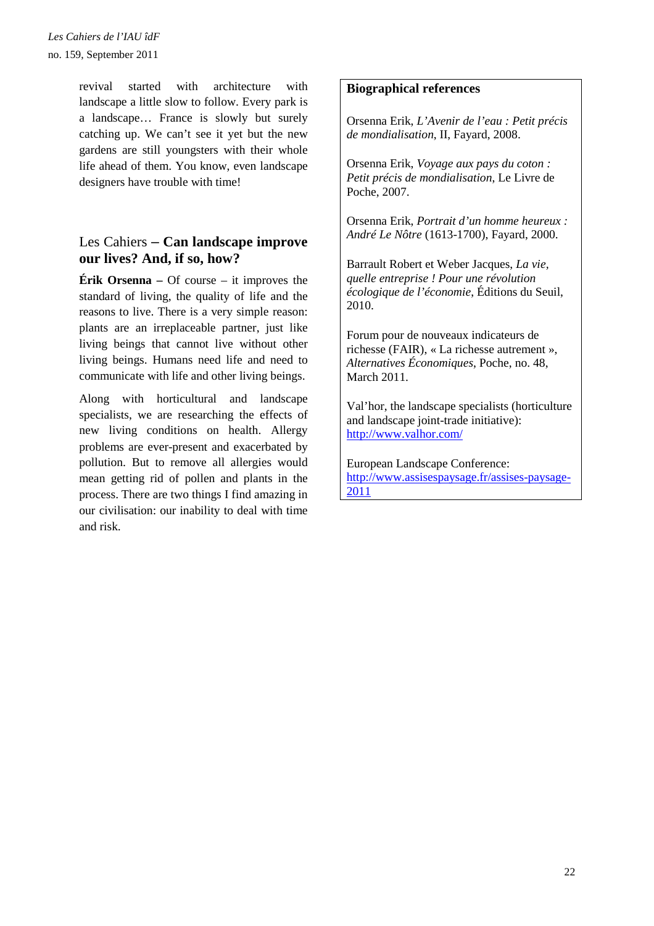revival started with architecture with landscape a little slow to follow. Every park is a landscape… France is slowly but surely catching up. We can't see it yet but the new gardens are still youngsters with their whole life ahead of them. You know, even landscape designers have trouble with time!

### Les Cahiers – **Can landscape improve our lives? And, if so, how?**

**Érik Orsenna** – Of course – it improves the standard of living, the quality of life and the reasons to live. There is a very simple reason: plants are an irreplaceable partner, just like living beings that cannot live without other living beings. Humans need life and need to communicate with life and other living beings.

Along with horticultural and landscape specialists, we are researching the effects of new living conditions on health. Allergy problems are ever-present and exacerbated by pollution. But to remove all allergies would mean getting rid of pollen and plants in the process. There are two things I find amazing in our civilisation: our inability to deal with time and risk.

#### **Biographical references**

Orsenna Erik, *L'Avenir de l'eau : Petit précis de mondialisation*, II, Fayard, 2008.

Orsenna Erik, *Voyage aux pays du coton : Petit précis de mondialisation*, Le Livre de Poche, 2007.

Orsenna Erik, *Portrait d'un homme heureux : André Le Nôtre* (1613-1700), Fayard, 2000.

Barrault Robert et Weber Jacques, *La vie, quelle entreprise ! Pour une révolution écologique de l'économie*, Éditions du Seuil, 2010.

Forum pour de nouveaux indicateurs de richesse (FAIR), « La richesse autrement », *Alternatives Économiques*, Poche, no. 48, March 2011.

Val'hor, the landscape specialists (horticulture and landscape joint-trade initiative): http://www.valhor.com/

European Landscape Conference: http://www.assisespaysage.fr/assises-paysage-2011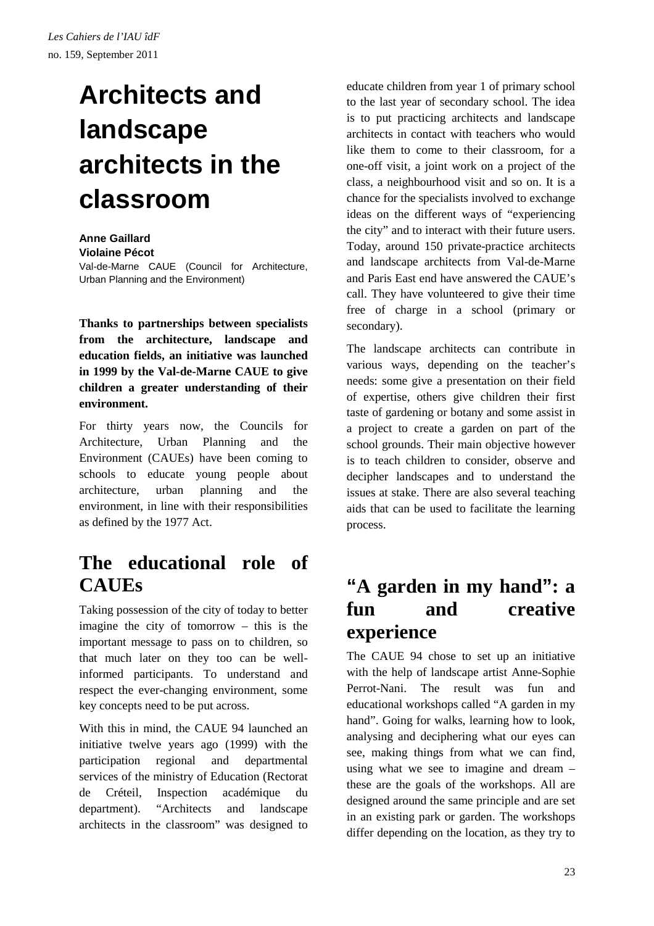# **Architects and landscape architects in the classroom**

#### **Anne Gaillard Violaine Pécot**

Val-de-Marne CAUE (Council for Architecture, Urban Planning and the Environment)

**Thanks to partnerships between specialists from the architecture, landscape and education fields, an initiative was launched in 1999 by the Val-de-Marne CAUE to give children a greater understanding of their environment.** 

For thirty years now, the Councils for Architecture, Urban Planning and the Environment (CAUEs) have been coming to schools to educate young people about architecture, urban planning and the environment, in line with their responsibilities as defined by the 1977 Act.

## **The educational role of CAUEs**

Taking possession of the city of today to better imagine the city of tomorrow – this is the important message to pass on to children, so that much later on they too can be wellinformed participants. To understand and respect the ever-changing environment, some key concepts need to be put across.

With this in mind, the CAUE 94 launched an initiative twelve years ago (1999) with the participation regional and departmental services of the ministry of Education (Rectorat de Créteil, Inspection académique du department). "Architects and landscape architects in the classroom" was designed to educate children from year 1 of primary school to the last year of secondary school. The idea is to put practicing architects and landscape architects in contact with teachers who would like them to come to their classroom, for a one-off visit, a joint work on a project of the class, a neighbourhood visit and so on. It is a chance for the specialists involved to exchange ideas on the different ways of "experiencing the city" and to interact with their future users. Today, around 150 private-practice architects and landscape architects from Val-de-Marne and Paris East end have answered the CAUE's call. They have volunteered to give their time free of charge in a school (primary or secondary).

The landscape architects can contribute in various ways, depending on the teacher's needs: some give a presentation on their field of expertise, others give children their first taste of gardening or botany and some assist in a project to create a garden on part of the school grounds. Their main objective however is to teach children to consider, observe and decipher landscapes and to understand the issues at stake. There are also several teaching aids that can be used to facilitate the learning process.

### **"A garden in my hand": a fun and creative experience**

The CAUE 94 chose to set up an initiative with the help of landscape artist Anne-Sophie Perrot-Nani. The result was fun and educational workshops called "A garden in my hand". Going for walks, learning how to look, analysing and deciphering what our eyes can see, making things from what we can find, using what we see to imagine and dream – these are the goals of the workshops. All are designed around the same principle and are set in an existing park or garden. The workshops differ depending on the location, as they try to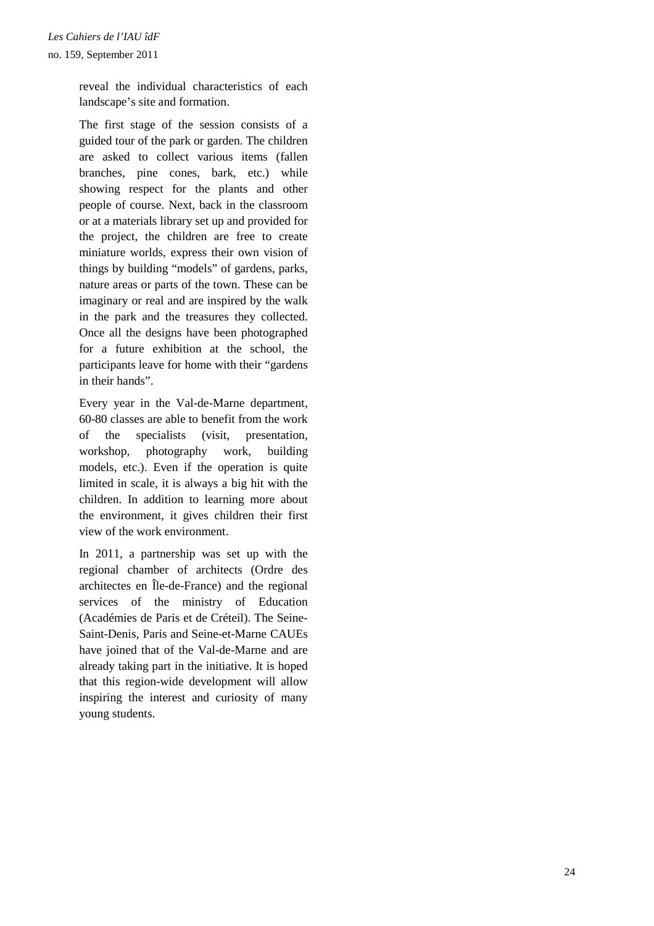reveal the individual characteristics of each landscape's site and formation.

The first stage of the session consists of a guided tour of the park or garden. The children are asked to collect various items (fallen branches, pine cones, bark, etc.) while showing respect for the plants and other people of course. Next, back in the classroom or at a materials library set up and provided for the project, the children are free to create miniature worlds, express their own vision of things by building "models" of gardens, parks, nature areas or parts of the town. These can be imaginary or real and are inspired by the walk in the park and the treasures they collected. Once all the designs have been photographed for a future exhibition at the school, the participants leave for home with their "gardens in their hands".

Every year in the Val-de-Marne department, 60-80 classes are able to benefit from the work of the specialists (visit, presentation, workshop, photography work, building models, etc.). Even if the operation is quite limited in scale, it is always a big hit with the children. In addition to learning more about the environment, it gives children their first view of the work environment.

In 2011, a partnership was set up with the regional chamber of architects (Ordre des architectes en Île-de-France) and the regional services of the ministry of Education (Académies de Paris et de Créteil). The Seine-Saint-Denis, Paris and Seine-et-Marne CAUEs have joined that of the Val-de-Marne and are already taking part in the initiative. It is hoped that this region-wide development will allow inspiring the interest and curiosity of many young students.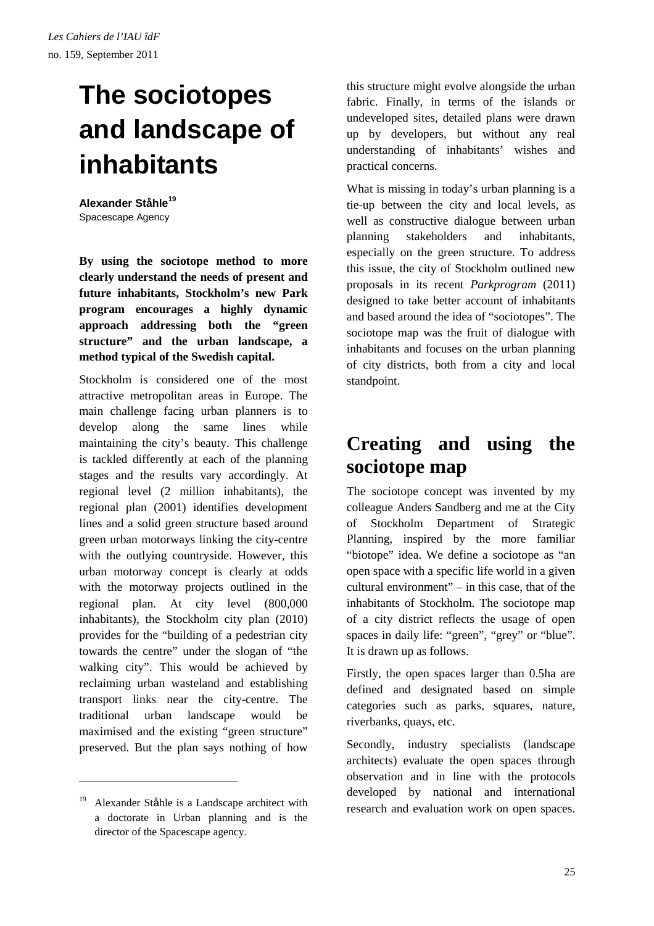# **The sociotopes and landscape of inhabitants**

**Alexander Ståhle<sup>19</sup>** Spacescape Agency

**By using the sociotope method to more clearly understand the needs of present and future inhabitants, Stockholm's new Park program encourages a highly dynamic approach addressing both the "green structure" and the urban landscape, a method typical of the Swedish capital.** 

Stockholm is considered one of the most attractive metropolitan areas in Europe. The main challenge facing urban planners is to develop along the same lines while maintaining the city's beauty. This challenge is tackled differently at each of the planning stages and the results vary accordingly. At regional level (2 million inhabitants), the regional plan (2001) identifies development lines and a solid green structure based around green urban motorways linking the city-centre with the outlying countryside. However, this urban motorway concept is clearly at odds with the motorway projects outlined in the regional plan. At city level (800,000 inhabitants), the Stockholm city plan (2010) provides for the "building of a pedestrian city towards the centre" under the slogan of "the walking city". This would be achieved by reclaiming urban wasteland and establishing transport links near the city-centre. The traditional urban landscape would be maximised and the existing "green structure" preserved. But the plan says nothing of how

 $\overline{a}$ 

this structure might evolve alongside the urban fabric. Finally, in terms of the islands or undeveloped sites, detailed plans were drawn up by developers, but without any real understanding of inhabitants' wishes and practical concerns.

What is missing in today's urban planning is a tie-up between the city and local levels, as well as constructive dialogue between urban planning stakeholders and inhabitants, especially on the green structure. To address this issue, the city of Stockholm outlined new proposals in its recent *Parkprogram* (2011) designed to take better account of inhabitants and based around the idea of "sociotopes". The sociotope map was the fruit of dialogue with inhabitants and focuses on the urban planning of city districts, both from a city and local standpoint.

## **Creating and using the sociotope map**

The sociotope concept was invented by my colleague Anders Sandberg and me at the City of Stockholm Department of Strategic Planning, inspired by the more familiar "biotope" idea. We define a sociotope as "an open space with a specific life world in a given cultural environment" – in this case, that of the inhabitants of Stockholm. The sociotope map of a city district reflects the usage of open spaces in daily life: "green", "grey" or "blue". It is drawn up as follows.

Firstly, the open spaces larger than 0.5ha are defined and designated based on simple categories such as parks, squares, nature, riverbanks, quays, etc.

Secondly, industry specialists (landscape architects) evaluate the open spaces through observation and in line with the protocols developed by national and international research and evaluation work on open spaces.

<sup>&</sup>lt;sup>19</sup> Alexander Ståhle is a Landscape architect with a doctorate in Urban planning and is the director of the Spacescape agency.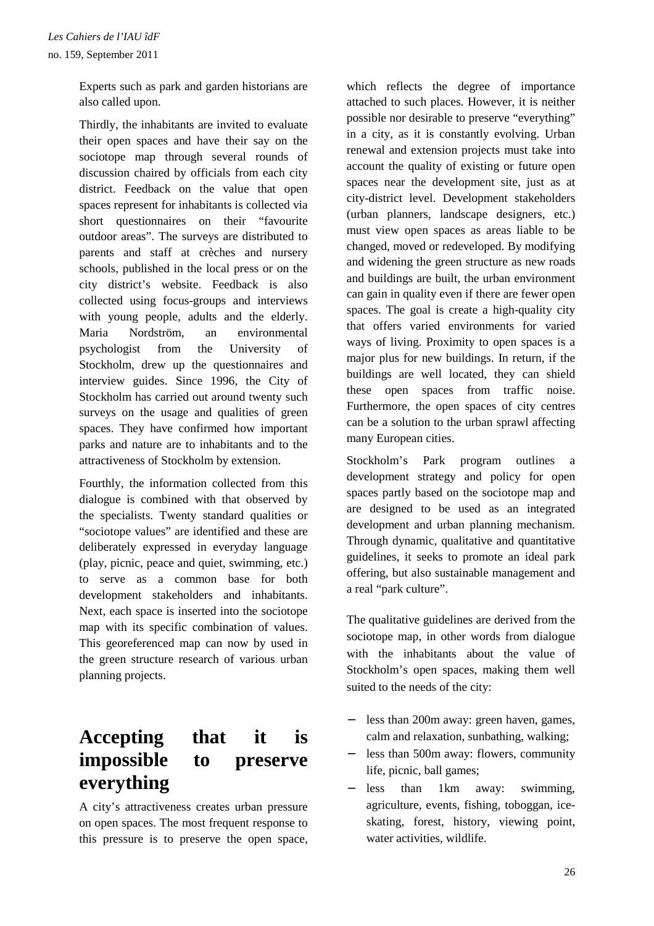Experts such as park and garden historians are also called upon.

Thirdly, the inhabitants are invited to evaluate their open spaces and have their say on the sociotope map through several rounds of discussion chaired by officials from each city district. Feedback on the value that open spaces represent for inhabitants is collected via short questionnaires on their "favourite outdoor areas". The surveys are distributed to parents and staff at crèches and nursery schools, published in the local press or on the city district's website. Feedback is also collected using focus-groups and interviews with young people, adults and the elderly. Maria Nordström, an environmental psychologist from the University of Stockholm, drew up the questionnaires and interview guides. Since 1996, the City of Stockholm has carried out around twenty such surveys on the usage and qualities of green spaces. They have confirmed how important parks and nature are to inhabitants and to the attractiveness of Stockholm by extension.

Fourthly, the information collected from this dialogue is combined with that observed by the specialists. Twenty standard qualities or "sociotope values" are identified and these are deliberately expressed in everyday language (play, picnic, peace and quiet, swimming, etc.) to serve as a common base for both development stakeholders and inhabitants. Next, each space is inserted into the sociotope map with its specific combination of values. This georeferenced map can now by used in the green structure research of various urban planning projects.

## **Accepting that it is impossible to preserve everything**

A city's attractiveness creates urban pressure on open spaces. The most frequent response to this pressure is to preserve the open space, which reflects the degree of importance attached to such places. However, it is neither possible nor desirable to preserve "everything" in a city, as it is constantly evolving. Urban renewal and extension projects must take into account the quality of existing or future open spaces near the development site, just as at city-district level. Development stakeholders (urban planners, landscape designers, etc.) must view open spaces as areas liable to be changed, moved or redeveloped. By modifying and widening the green structure as new roads and buildings are built, the urban environment can gain in quality even if there are fewer open spaces. The goal is create a high-quality city that offers varied environments for varied ways of living. Proximity to open spaces is a major plus for new buildings. In return, if the buildings are well located, they can shield these open spaces from traffic noise. Furthermore, the open spaces of city centres can be a solution to the urban sprawl affecting many European cities.

Stockholm's Park program outlines a development strategy and policy for open spaces partly based on the sociotope map and are designed to be used as an integrated development and urban planning mechanism. Through dynamic, qualitative and quantitative guidelines, it seeks to promote an ideal park offering, but also sustainable management and a real "park culture".

The qualitative guidelines are derived from the sociotope map, in other words from dialogue with the inhabitants about the value of Stockholm's open spaces, making them well suited to the needs of the city:

- − less than 200m away: green haven, games, calm and relaxation, sunbathing, walking;
- less than 500m away: flowers, community life, picnic, ball games;
- less than 1km away: swimming, agriculture, events, fishing, toboggan, iceskating, forest, history, viewing point, water activities, wildlife.